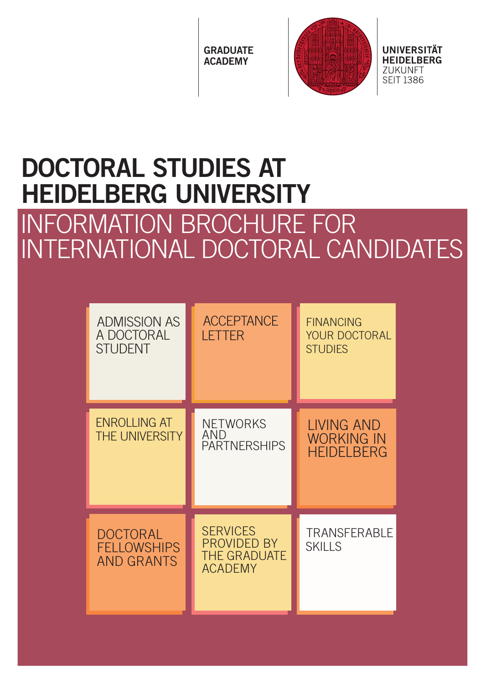**GRADUATE** ACADEMY



UNIVERSITÄT **HEIDELBERG** ZUKUNFT **SFIT 1386** 

# DOCTORAL STUDIES AT HEIDELBERG UNIVERSITY

## INFORMATION BROCHURE FOR INTERNATIONAL DOCTORAL CANDIDATES

| <b>ADMISSION AS</b><br>A DOCTORAL<br><b>STUDENT</b>        | <b>ACCEPTANCE</b><br>LETTER                                             | <b>FINANCING</b><br><b>YOUR DOCTORAL</b><br><b>STUDIES</b>   |
|------------------------------------------------------------|-------------------------------------------------------------------------|--------------------------------------------------------------|
| <b>ENROLLING AT</b><br><b>THE UNIVERSITY</b>               | <b>NETWORKS</b><br>AND<br><b>PARTNERSHIPS</b>                           | <b>LIVING AND</b><br><b>WORKING IN</b><br><b>HFIDFI BFRG</b> |
| <b>DOCTORAL</b><br><b>FELLOWSHIPS</b><br><b>AND GRANTS</b> | <b>SERVICES</b><br>PROVIDED BY<br><b>THE GRADUATE</b><br><b>ACADEMY</b> | <b>TRANSFERABLE</b><br><b>SKILLS</b>                         |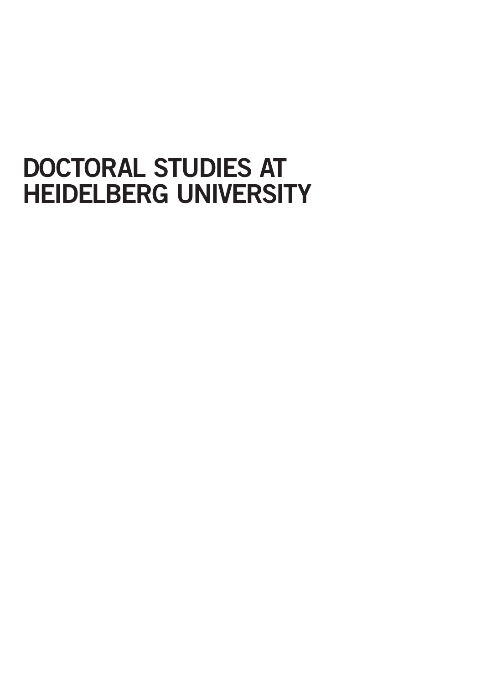## DOCTORAL STUDIES AT HEIDELBERG UNIVERSITY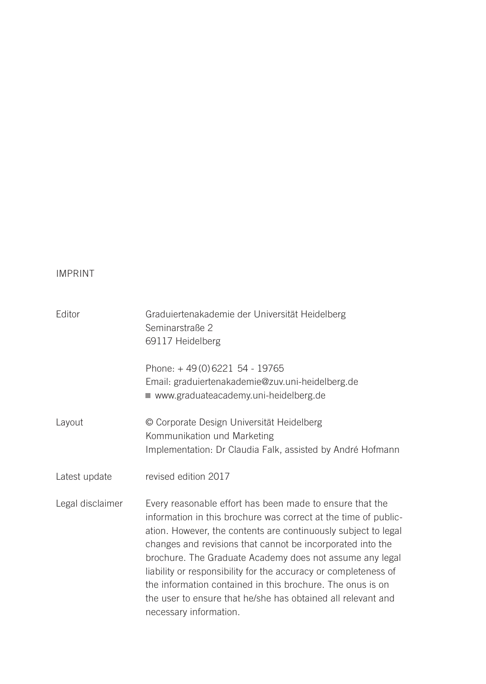#### IMPRINT

| Editor           | Graduiertenakademie der Universität Heidelberg<br>Seminarstraße 2<br>69117 Heidelberg                                                                                                                                                                                                                                                                                                                                                                                                                                                              |
|------------------|----------------------------------------------------------------------------------------------------------------------------------------------------------------------------------------------------------------------------------------------------------------------------------------------------------------------------------------------------------------------------------------------------------------------------------------------------------------------------------------------------------------------------------------------------|
|                  | Phone: +49(0)6221 54 - 19765<br>Email: graduiertenakademie@zuv.uni-heidelberg.de<br>www.graduateacademy.uni-heidelberg.de                                                                                                                                                                                                                                                                                                                                                                                                                          |
| Layout           | © Corporate Design Universität Heidelberg<br>Kommunikation und Marketing<br>Implementation: Dr Claudia Falk, assisted by André Hofmann                                                                                                                                                                                                                                                                                                                                                                                                             |
| Latest update    | revised edition 2017                                                                                                                                                                                                                                                                                                                                                                                                                                                                                                                               |
| Legal disclaimer | Every reasonable effort has been made to ensure that the<br>information in this brochure was correct at the time of public-<br>ation. However, the contents are continuously subject to legal<br>changes and revisions that cannot be incorporated into the<br>brochure. The Graduate Academy does not assume any legal<br>liability or responsibility for the accuracy or completeness of<br>the information contained in this brochure. The onus is on<br>the user to ensure that he/she has obtained all relevant and<br>necessary information. |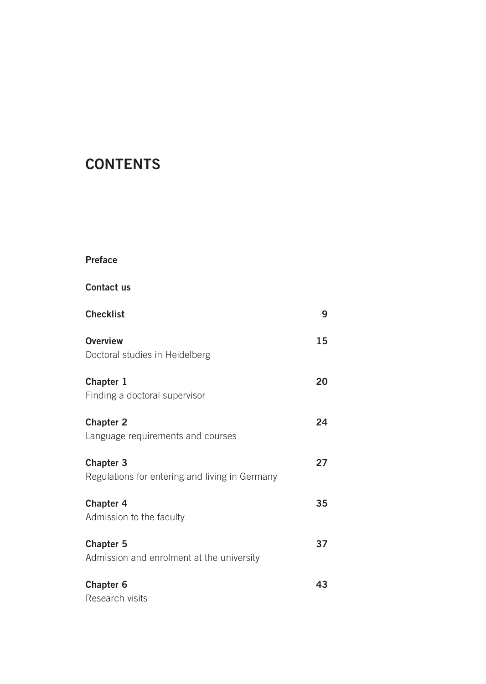## **CONTENTS**

#### Preface

Contact us

| <b>Checklist</b>                                              | 9  |
|---------------------------------------------------------------|----|
| Overview<br>Doctoral studies in Heidelberg                    | 15 |
| Chapter 1<br>Finding a doctoral supervisor                    | 20 |
| <b>Chapter 2</b><br>Language requirements and courses         | 24 |
| Chapter 3<br>Regulations for entering and living in Germany   | 27 |
| Chapter 4<br>Admission to the faculty                         | 35 |
| <b>Chapter 5</b><br>Admission and enrolment at the university | 37 |
| Chapter 6<br>Research visits                                  | 43 |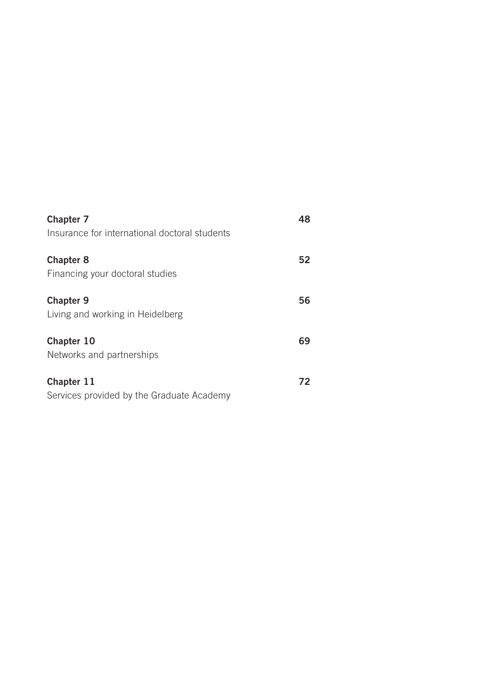| Chapter 7<br>Insurance for international doctoral students | 48 |
|------------------------------------------------------------|----|
| Chapter 8<br>Financing your doctoral studies               | 52 |
| <b>Chapter 9</b><br>Living and working in Heidelberg       | 56 |
| Chapter 10<br>Networks and partnerships                    | 69 |
| Chapter 11<br>Services provided by the Graduate Academy    | 72 |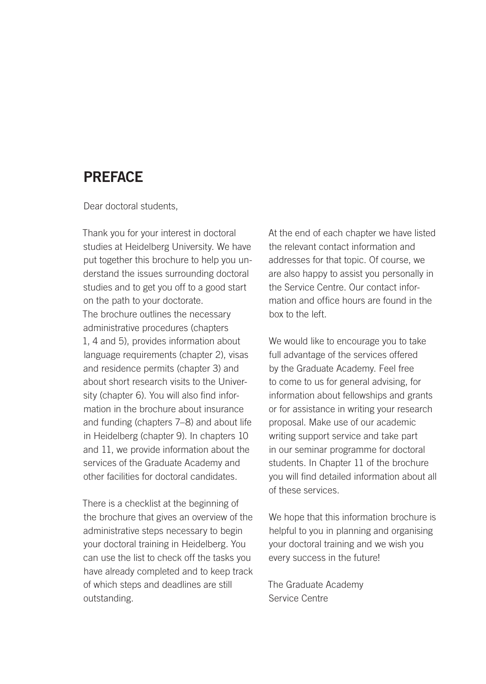### PREFACE

Dear doctoral students,

Thank you for your interest in doctoral studies at Heidelberg University. We have put together this brochure to help you understand the issues surrounding doctoral studies and to get you off to a good start on the path to your doctorate. The brochure outlines the necessary administrative procedures (chapters 1, 4 and 5), provides information about language requirements (chapter 2), visas and residence permits (chapter 3) and about short research visits to the University (chapter 6). You will also find information in the brochure about insurance and funding (chapters 7–8) and about life in Heidelberg (chapter 9). In chapters 10 and 11, we provide information about the services of the Graduate Academy and other facilities for doctoral candidates.

There is a checklist at the beginning of the brochure that gives an overview of the administrative steps necessary to begin your doctoral training in Heidelberg. You can use the list to check off the tasks you have already completed and to keep track of which steps and deadlines are still outstanding.

At the end of each chapter we have listed the relevant contact information and addresses for that topic. Of course, we are also happy to assist you personally in the Service Centre. Our contact information and office hours are found in the box to the left.

We would like to encourage you to take full advantage of the services offered by the Graduate Academy. Feel free to come to us for general advising, for information about fellowships and grants or for assistance in writing your research proposal. Make use of our academic writing support service and take part in our seminar programme for doctoral students. In Chapter 11 of the brochure you will find detailed information about all of these services.

We hope that this information brochure is helpful to you in planning and organising your doctoral training and we wish you every success in the future!

The Graduate Academy Service Centre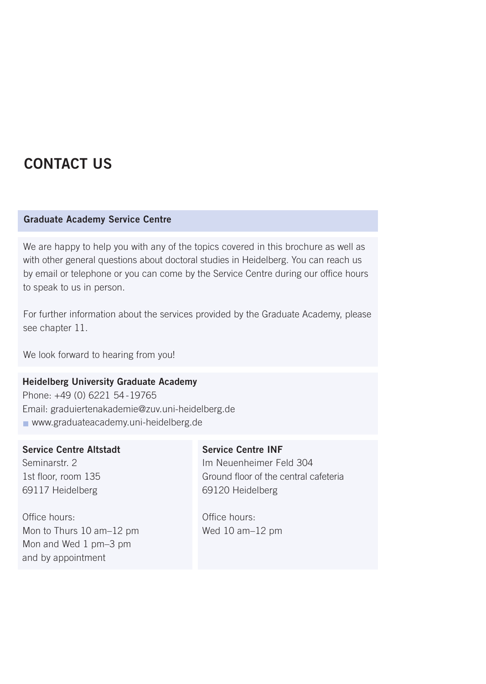## CONTACT US

#### Graduate Academy Service Centre

We are happy to help you with any of the topics covered in this brochure as well as with other general questions about doctoral studies in Heidelberg. You can reach us by email or telephone or you can come by the Service Centre during our office hours to speak to us in person.

For further information about the services provided by the Graduate Academy, please see chapter 11.

We look forward to hearing from you!

#### Heidelberg University Graduate Academy

Phone: +49 (0) 6221 54 -19765 Email: graduiertenakademie@zuv.uni-heidelberg.de www.graduateacademy.uni-heidelberg.de

#### Service Centre Altstadt

Seminarstr. 2 1st floor, room 135 69117 Heidelberg

Office hours: Mon to Thurs 10 am–12 pm Mon and Wed 1 pm–3 pm and by appointment

#### Service Centre INF

Im Neuenheimer Feld 304 Ground floor of the central cafeteria 69120 Heidelberg

Office hours: Wed 10 am–12 pm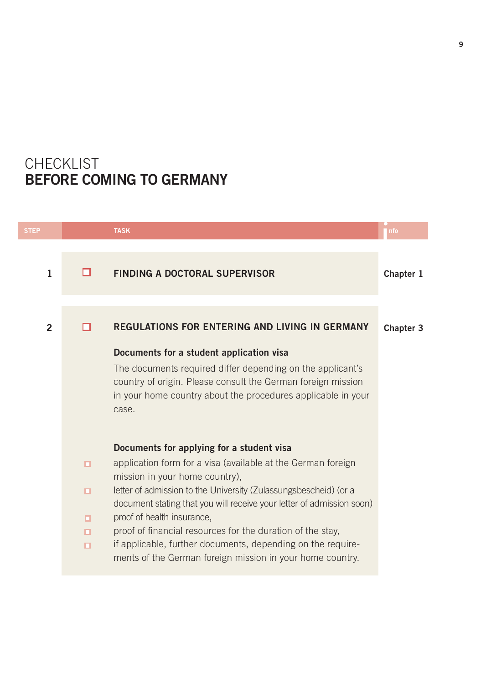## CHECKLIST BEFORE COMING TO GERMANY

| <b>STEP</b>    |                                 | <b>TASK</b>                                                                                                                                                                                                                                                                                                                                                                                                                                                                                                      | nfo       |
|----------------|---------------------------------|------------------------------------------------------------------------------------------------------------------------------------------------------------------------------------------------------------------------------------------------------------------------------------------------------------------------------------------------------------------------------------------------------------------------------------------------------------------------------------------------------------------|-----------|
| $\mathbf{1}$   | п                               | <b>FINDING A DOCTORAL SUPERVISOR</b>                                                                                                                                                                                                                                                                                                                                                                                                                                                                             | Chapter 1 |
| $\overline{2}$ |                                 | <b>REGULATIONS FOR ENTERING AND LIVING IN GERMANY</b><br>Documents for a student application visa<br>The documents required differ depending on the applicant's<br>country of origin. Please consult the German foreign mission<br>in your home country about the procedures applicable in your<br>case.                                                                                                                                                                                                         | Chapter 3 |
|                | $\Box$<br>$\Box$<br>о<br>о<br>п | Documents for applying for a student visa<br>application form for a visa (available at the German foreign<br>mission in your home country),<br>letter of admission to the University (Zulassungsbescheid) (or a<br>document stating that you will receive your letter of admission soon)<br>proof of health insurance.<br>proof of financial resources for the duration of the stay,<br>if applicable, further documents, depending on the require-<br>ments of the German foreign mission in your home country. |           |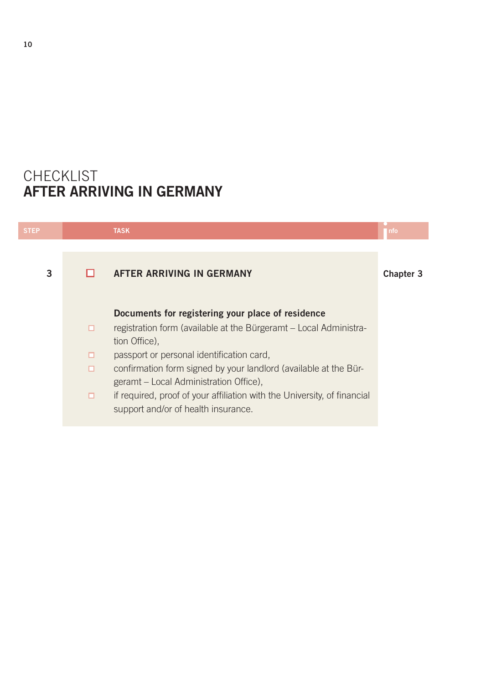## CHECKLIST AFTER ARRIVING IN GERMANY

| <b>STEP</b> |                  | <b>TASK</b>                                                                                                                                                                                                                                                                                                                                                                                                           | I nfo     |
|-------------|------------------|-----------------------------------------------------------------------------------------------------------------------------------------------------------------------------------------------------------------------------------------------------------------------------------------------------------------------------------------------------------------------------------------------------------------------|-----------|
| 3           |                  | AFTER ARRIVING IN GERMANY                                                                                                                                                                                                                                                                                                                                                                                             | Chapter 3 |
|             | о<br>о<br>о<br>о | Documents for registering your place of residence<br>registration form (available at the Bürgeramt - Local Administra-<br>tion Office).<br>passport or personal identification card,<br>confirmation form signed by your landlord (available at the Bür-<br>geramt – Local Administration Office).<br>if required, proof of your affiliation with the University, of financial<br>support and/or of health insurance. |           |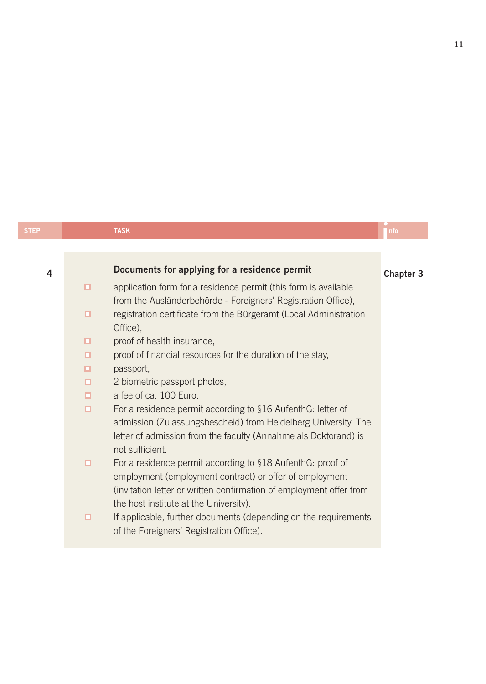| <b>STEP</b> |        | <b>TASK</b>                                                                                                                                                                                                                            | nfo       |
|-------------|--------|----------------------------------------------------------------------------------------------------------------------------------------------------------------------------------------------------------------------------------------|-----------|
|             |        |                                                                                                                                                                                                                                        |           |
| 4           |        | Documents for applying for a residence permit                                                                                                                                                                                          | Chapter 3 |
|             | $\Box$ | application form for a residence permit (this form is available<br>from the Ausländerbehörde - Foreigners' Registration Office),                                                                                                       |           |
|             | ▫      | registration certificate from the Bürgeramt (Local Administration<br>Office),                                                                                                                                                          |           |
|             | □      | proof of health insurance,                                                                                                                                                                                                             |           |
|             | □      | proof of financial resources for the duration of the stay,                                                                                                                                                                             |           |
|             | о      | passport,                                                                                                                                                                                                                              |           |
|             | о      | 2 biometric passport photos,                                                                                                                                                                                                           |           |
|             | о      | a fee of ca. 100 Euro.                                                                                                                                                                                                                 |           |
|             | $\Box$ | For a residence permit according to §16 AufenthG: letter of<br>admission (Zulassungsbescheid) from Heidelberg University. The<br>letter of admission from the faculty (Annahme als Doktorand) is<br>not sufficient.                    |           |
|             | $\Box$ | For a residence permit according to §18 AufenthG: proof of<br>employment (employment contract) or offer of employment<br>(invitation letter or written confirmation of employment offer from<br>the host institute at the University). |           |
|             | □      | If applicable, further documents (depending on the requirements<br>of the Foreigners' Registration Office).                                                                                                                            |           |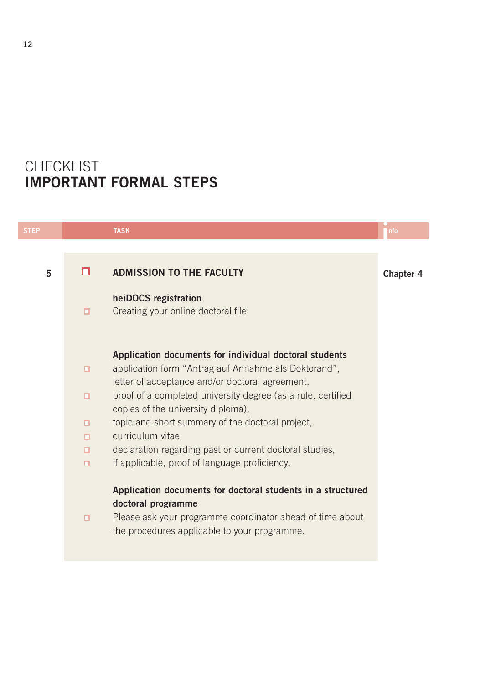## CHECKLIST IMPORTANT FORMAL STEPS

| <b>STEP</b> |        | <b>TASK</b>                                                                                                     | nfo       |
|-------------|--------|-----------------------------------------------------------------------------------------------------------------|-----------|
|             |        |                                                                                                                 |           |
| 5           |        | <b>ADMISSION TO THE FACULTY</b>                                                                                 | Chapter 4 |
|             |        | heiDOCS registration                                                                                            |           |
|             | о      | Creating your online doctoral file                                                                              |           |
|             |        | Application documents for individual doctoral students                                                          |           |
|             | $\Box$ | application form "Antrag auf Annahme als Doktorand",                                                            |           |
|             | $\Box$ | letter of acceptance and/or doctoral agreement,<br>proof of a completed university degree (as a rule, certified |           |
|             |        | copies of the university diploma),                                                                              |           |
|             | о      | topic and short summary of the doctoral project.<br>curriculum vitae.                                           |           |
|             | $\Box$ | declaration regarding past or current doctoral studies,                                                         |           |
|             | $\Box$ | if applicable, proof of language proficiency.                                                                   |           |
|             |        | Application documents for doctoral students in a structured                                                     |           |
|             | $\Box$ | doctoral programme<br>Please ask your programme coordinator ahead of time about                                 |           |
|             |        | the procedures applicable to your programme.                                                                    |           |
|             |        |                                                                                                                 |           |
|             |        |                                                                                                                 |           |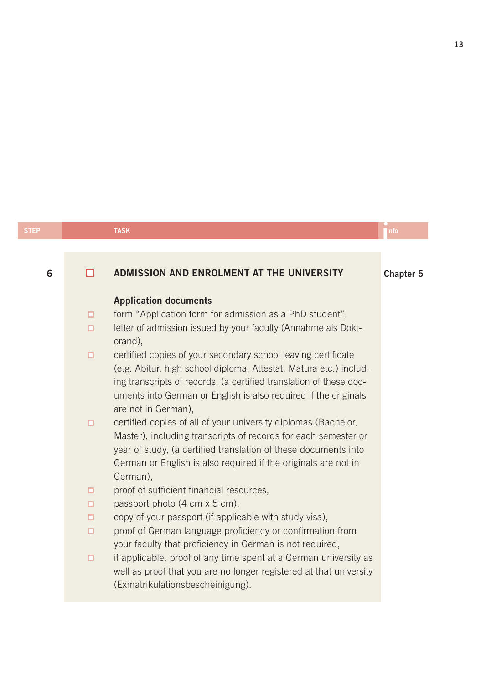#### 6 Chapter 5 Chapter 5 Chapter 5 Chapter 5 Chapter 5 Application documents form "Application form for admission as a PhD student",  $\Box$  $\Box$ letter of admission issued by your faculty (Annahme als Doktorand), certified copies of your secondary school leaving certificate  $\Box$ (e.g. Abitur, high school diploma, Attestat, Matura etc.) including transcripts of records, (a certified translation of these documents into German or English is also required if the originals are not in German), certified copies of all of your university diplomas (Bachelor,  $\Box$ Master), including transcripts of records for each semester or year of study, (a certified translation of these documents into German or English is also required if the originals are not in German),  $\Box$ proof of sufficient financial resources,  $\Box$ passport photo (4 cm x 5 cm), copy of your passport (if applicable with study visa),  $\Box$  $\Box$ proof of German language proficiency or confirmation from your faculty that proficiency in German is not required, if applicable, proof of any time spent at a German university as  $\Box$ well as proof that you are no longer registered at that university

(Exmatrikulationsbescheinigung).

e<br>|<br>| nfo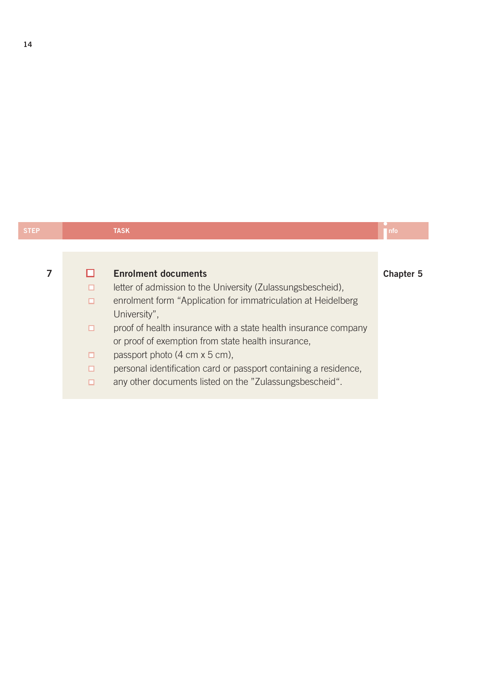| <b>STEP</b> | <b>TASK</b>                                                                                                                                                                                                                                                                                                                                                                                                                  | nfo       |
|-------------|------------------------------------------------------------------------------------------------------------------------------------------------------------------------------------------------------------------------------------------------------------------------------------------------------------------------------------------------------------------------------------------------------------------------------|-----------|
|             |                                                                                                                                                                                                                                                                                                                                                                                                                              |           |
| 7           | <b>Enrolment documents</b><br>letter of admission to the University (Zulassungsbescheid).<br>enrolment form "Application for immatriculation at Heidelberg<br>о<br>University".<br>proof of health insurance with a state health insurance company<br>◻<br>or proof of exemption from state health insurance,<br>passport photo (4 cm x 5 cm),<br>о<br>personal identification card or passport containing a residence,<br>о | Chapter 5 |

14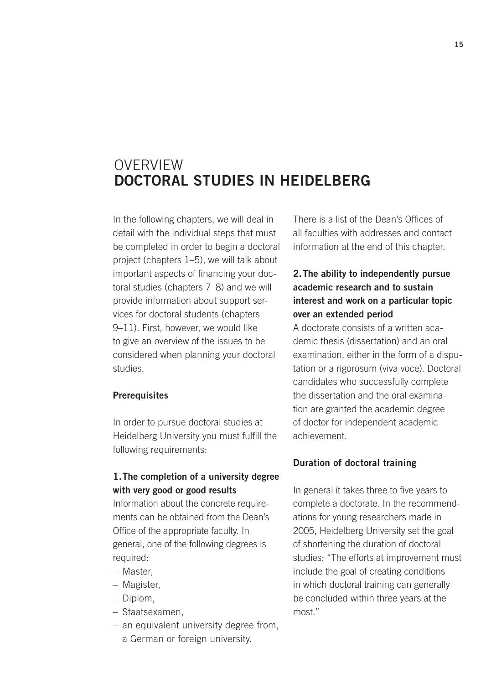### **OVERVIEW** DOCTORAL STUDIES IN HEIDELBERG

In the following chapters, we will deal in detail with the individual steps that must be completed in order to begin a doctoral project (chapters 1–5), we will talk about important aspects of financing your doctoral studies (chapters 7–8) and we will provide information about support services for doctoral students (chapters 9–11). First, however, we would like to give an overview of the issues to be considered when planning your doctoral studies.

#### **Prerequisites**

In order to pursue doctoral studies at Heidelberg University you must fulfill the following requirements:

#### 1.The completion of a university degree with very good or good results

Information about the concrete requirements can be obtained from the Dean's Office of the appropriate faculty. In general, one of the following degrees is required:

- Master,
- Magister,
- Diplom,
- Staatsexamen,
- an equivalent university degree from, a German or foreign university.

There is a list of the Dean's Offices of all faculties with addresses and contact information at the end of this chapter.

#### 2.The ability to independently pursue academic research and to sustain interest and work on a particular topic over an extended period

A doctorate consists of a written academic thesis (dissertation) and an oral examination, either in the form of a disputation or a rigorosum (viva voce). Doctoral candidates who successfully complete the dissertation and the oral examination are granted the academic degree of doctor for independent academic achievement.

#### Duration of doctoral training

In general it takes three to five years to complete a doctorate. In the recommendations for young researchers made in 2005, Heidelberg University set the goal of shortening the duration of doctoral studies: "The efforts at improvement must include the goal of creating conditions in which doctoral training can generally be concluded within three years at the most."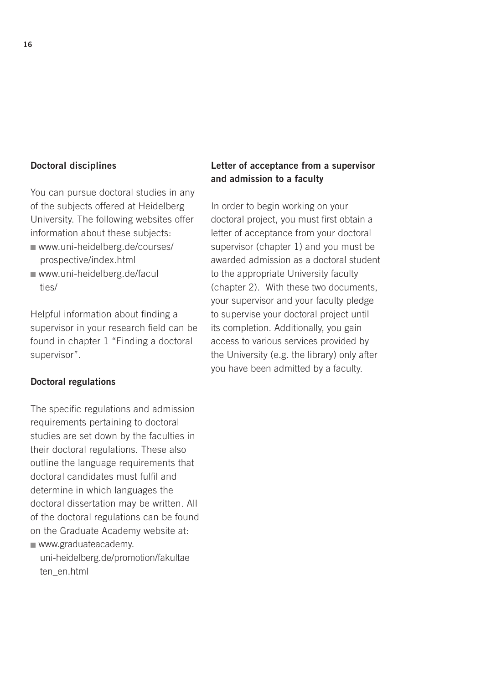#### Doctoral disciplines

You can pursue doctoral studies in any of the subjects offered at Heidelberg University. The following websites offer information about these subjects:

- [www.uni-heidelberg.de/courses/](http://www.uni-heidelberg.de/courses/prospective/index.html) prospective/index.html
- [www.uni-heidelberg.de/facul](http://www.uni-heidelberg.de/faculties/) ties/

Helpful information about finding a supervisor in your research field can be found in chapter 1 "Finding a doctoral supervisor".

#### Doctoral regulations

The specific regulations and admission requirements pertaining to doctoral studies are set down by the faculties in their doctoral regulations. These also outline the language requirements that doctoral candidates must fulfil and determine in which languages the doctoral dissertation may be written. All of the doctoral regulations can be found on the Graduate Academy website at: www.graduateacademy.

[uni-heidelberg.de/promotion/fakultae](http//:www.graduateacademy.uni-heidelberg.de/promotion/fakultaeten_en.html) ten\_en.html

#### Letter of acceptance from a supervisor and admission to a faculty

In order to begin working on your doctoral project, you must first obtain a letter of acceptance from your doctoral supervisor (chapter 1) and you must be awarded admission as a doctoral student to the appropriate University faculty (chapter 2). With these two documents, your supervisor and your faculty pledge to supervise your doctoral project until its completion. Additionally, you gain access to various services provided by the University (e.g. the library) only after you have been admitted by a faculty.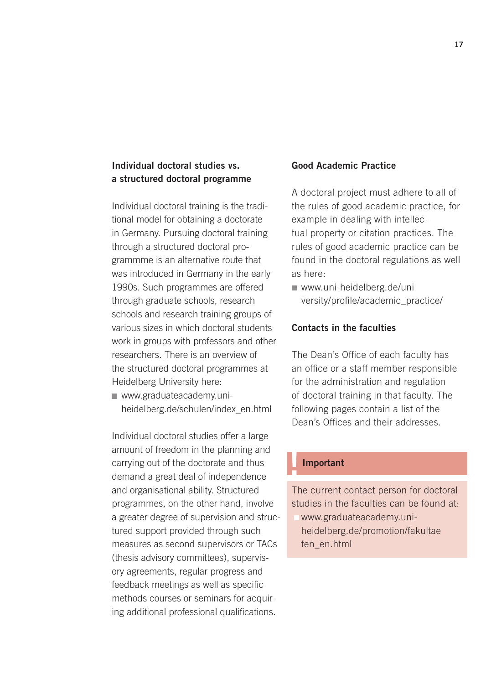#### Individual doctoral studies vs. a structured doctoral programme

Individual doctoral training is the traditional model for obtaining a doctorate in Germany. Pursuing doctoral training through a structured doctoral programmme is an alternative route that was introduced in Germany in the early 1990s. Such programmes are offered through graduate schools, research schools and research training groups of various sizes in which doctoral students work in groups with professors and other researchers. There is an overview of the structured doctoral programmes at Heidelberg University here:

www.graduateacademy.uni[heidelberg.de/schulen/index\\_en.html](http://www.graduateacademy.uni-heidelberg.de/schulen/index_en.html) 

Individual doctoral studies offer a large amount of freedom in the planning and carrying out of the doctorate and thus demand a great deal of independence and organisational ability. Structured programmes, on the other hand, involve a greater degree of supervision and structured support provided through such measures as second supervisors or TACs (thesis advisory committees), supervisory agreements, regular progress and feedback meetings as well as specific methods courses or seminars for acquiring additional professional qualifications.

#### Good Academic Practice

A doctoral project must adhere to all of the rules of good academic practice, for example in dealing with intellectual property or citation practices. The rules of good academic practice can be found in the doctoral regulations as well as here:

www.uni-heidelberg.de/uni [versity/profile/academic\\_practice/](http://www.uni-heidelberg.de/university/profile/academic_practice/)

#### Contacts in the faculties

The Dean's Office of each faculty has an office or a staff member responsible for the administration and regulation of doctoral training in that faculty. The following pages contain a list of the Dean's Offices and their addresses.

#### **Important**

The current contact person for doctoral studies in the faculties can be found at:

www.graduateacademy.uni[heidelberg.de/promotion/fakultae](http://www.graduateacademy.uni-heidelberg.de/promotion/fakultaeten_en.html) ten\_en.html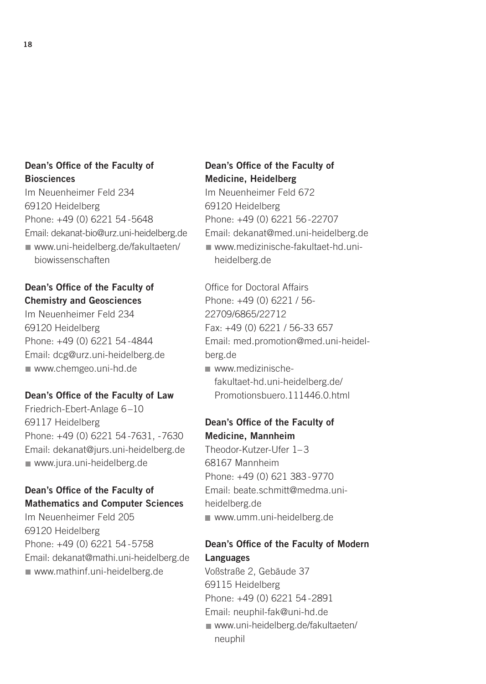#### Dean's Office of the Faculty of **Biosciences**

Im Neuenheimer Feld 234 69120 Heidelberg Phone: +49 (0) 6221 54 -5648 Email: dekanat-bio@urz.uni-heidelberg.de [www.uni-heidelberg.de/fakultaeten/](http://www.uni-heidelberg.de/fakultaeten/biowissenschaften) biowissenschaften

#### Dean's Office of the Faculty of Chemistry and Geosciences

Im Neuenheimer Feld 234 69120 Heidelberg Phone: +49 (0) 6221 54 -4844 Email: dcg@urz.uni-heidelberg.de www.chemgeo.uni-hd.de

#### Dean's Office of the Faculty of Law

Friedrich-Ebert-Anlage 6 –10 69117 Heidelberg Phone: +49 (0) 6221 54 -7631, -7630 Email: dekanat@jurs.uni-heidelberg.de www.jura.uni-heidelberg.de

#### Dean's Office of the Faculty of Mathematics and Computer Sciences

Im Neuenheimer Feld 205 69120 Heidelberg Phone: +49 (0) 6221 54 -5758 Email: dekanat@mathi.uni-heidelberg.de www.mathinf.uni-heidelberg.de

### Dean's Office of the Faculty of Medicine, Heidelberg

Im Neuenheimer Feld 672 69120 Heidelberg Phone: +49 (0) 6221 56 -22707 Email: dekanat@med.uni-heidelberg.de www.medizinische-fakultaet-hd.uniheidelberg.de

Office for Doctoral Affairs Phone: +49 (0) 6221 / 56- 22709/6865/22712 Fax: +49 (0) 6221 / 56-33 657 Email: med.promotion@med.uni-heidelberg.de www.medizinischefakultaet-hd.uni-heidelberg.de/

[Promotionsbuero.111446.0.html](http://www.medizinische-fakultaet-hd.uni-heidelberg.de/Promotionsbuero.111446.0.html)

#### Dean's Office of the Faculty of Medicine, Mannheim

Theodor-Kutzer-Ufer 1– 3 68167 Mannheim Phone: +49 (0) 621 383 -9770 Email: beate.schmitt@medma.uniheidelberg.de www.umm.uni-heidelberg.de

#### Dean's Office of the Faculty of Modern Languages

Voßstraße 2, Gebäude 37 69115 Heidelberg Phone: +49 (0) 6221 54 -2891 Email: neuphil-fak@uni-hd.de [www.uni-heidelberg.de/fakultaeten/](http://www.uni-heidelberg.de/fakultaeten/neuphil) neuphil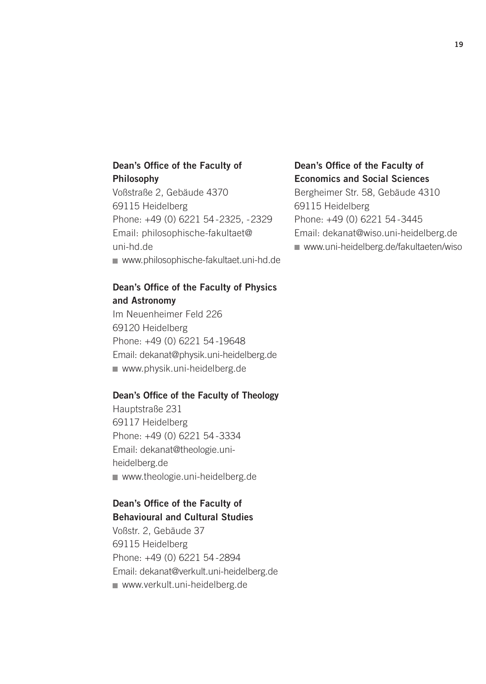#### Dean's Office of the Faculty of Philosophy

Voßstraße 2, Gebäude 4370 69115 Heidelberg Phone: +49 (0) 6221 54 -2325, -2329 Email: philosophische-fakultaet@ uni-hd.de www.philosophische-fakultaet.uni-hd.de

#### Dean's Office of the Faculty of Physics and Astronomy

Im Neuenheimer Feld 226 69120 Heidelberg Phone: +49 (0) 6221 54 -19648 Email: dekanat@physik.uni-heidelberg.de www.physik.uni-heidelberg.de

#### Dean's Office of the Faculty of Theology

Hauptstraße 231 69117 Heidelberg Phone: +49 (0) 6221 54 -3334 Email: dekanat@theologie.uniheidelberg.de www.theologie.uni-heidelberg.de

#### Dean's Office of the Faculty of Behavioural and Cultural Studies

Voßstr. 2, Gebäude 37 69115 Heidelberg Phone: +49 (0) 6221 54 -2894 Email: dekanat@verkult.uni-heidelberg.de www.verkult.uni-heidelberg.de

### Dean's Office of the Faculty of Economics and Social Sciences

Bergheimer Str. 58, Gebäude 4310 69115 Heidelberg Phone: +49 (0) 6221 54 -3445 Email: dekanat@wiso.uni-heidelberg.de [www.uni-heidelberg.de/fakultaeten/wiso](http://www.uni-heidelberg.de/fakultaeten/wiso)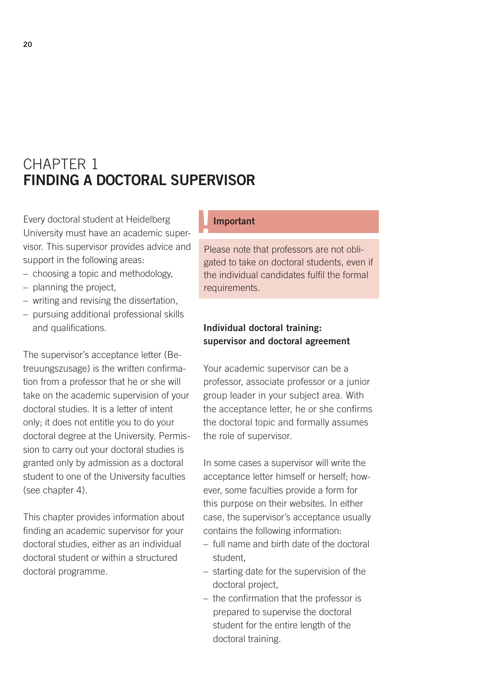## CHAPTER 1 FINDING A DOCTORAL SUPERVISOR

Every doctoral student at Heidelberg University must have an academic supervisor. This supervisor provides advice and support in the following areas:

- choosing a topic and methodology,
- planning the project,
- writing and revising the dissertation,
- pursuing additional professional skills and qualifications.

The supervisor's acceptance letter (Betreuungszusage) is the written confirmation from a professor that he or she will take on the academic supervision of your doctoral studies. It is a letter of intent only; it does not entitle you to do your doctoral degree at the University. Permission to carry out your doctoral studies is granted only by admission as a doctoral student to one of the University faculties (see chapter 4).

This chapter provides information about finding an academic supervisor for your doctoral studies, either as an individual doctoral student or within a structured doctoral programme.

#### **Important**

Please note that professors are not obligated to take on doctoral students, even if the individual candidates fulfil the formal requirements.

#### Individual doctoral training: supervisor and doctoral agreement

Your academic supervisor can be a professor, associate professor or a junior group leader in your subject area. With the acceptance letter, he or she confirms the doctoral topic and formally assumes the role of supervisor.

In some cases a supervisor will write the acceptance letter himself or herself; however, some faculties provide a form for this purpose on their websites. In either case, the supervisor's acceptance usually contains the following information:

- full name and birth date of the doctoral student,
- starting date for the supervision of the doctoral project,
- the confirmation that the professor is prepared to supervise the doctoral student for the entire length of the doctoral training.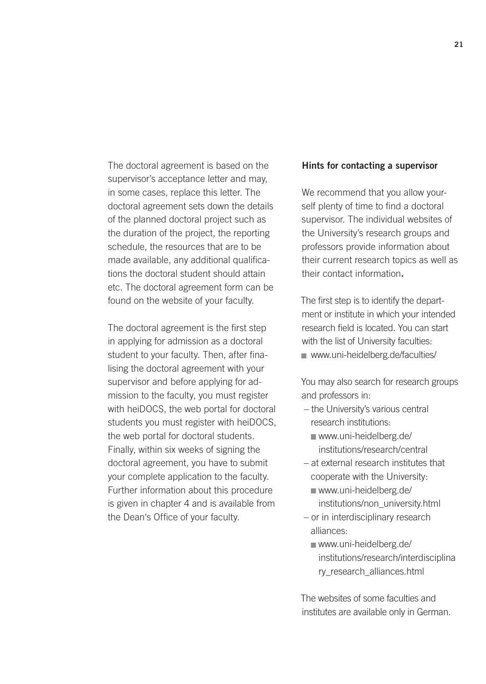The doctoral agreement is based on the supervisor's acceptance letter and may, in some cases, replace this letter. The doctoral agreement sets down the details of the planned doctoral project such as the duration of the project, the reporting schedule, the resources that are to be made available, any additional qualifications the doctoral student should attain etc. The doctoral agreement form can be found on the website of your faculty.

The doctoral agreement is the first step in applying for admission as a doctoral student to your faculty. Then, after finalising the doctoral agreement with your supervisor and before applying for admission to the faculty, you must register with heiDOCS, the web portal for doctoral students you must register with heiDOCS, the web portal for doctoral students. Finally, within six weeks of signing the doctoral agreement, you have to submit your complete application to the faculty. Further information about this procedure is given in chapter 4 and is available from the Dean's Office of your faculty.

#### Hints for contacting a supervisor

We recommend that you allow yourself plenty of time to find a doctoral supervisor. The individual websites of the University's research groups and professors provide information about their current research topics as well as their contact information.

The first step is to identify the department or institute in which your intended research field is located. You can start with the list of University faculties: www.uni-heidelberg.de/faculties/

You may also search for research groups and professors in:

- the University's various central research institutions:
	- www.uni-heidelberg.de/ [institutions/research/central](www.uni-heidelberg.de/institutions/research/central)
- at external research institutes that cooperate with the University:
	- www.uni-heidelberg.de/ [institutions/non\\_university.html](http://www.uni-heidelberg.de/institutions/non_university.html)
- or in interdisciplinary research alliances:
	- www.uni-heidelberg.de/ [institutions/research/interdisciplina](http://www.uni-heidelberg.de/institutions/research/interdisciplinary_research_alliances.html) ry\_research\_alliances.html

The websites of some faculties and institutes are available only in German.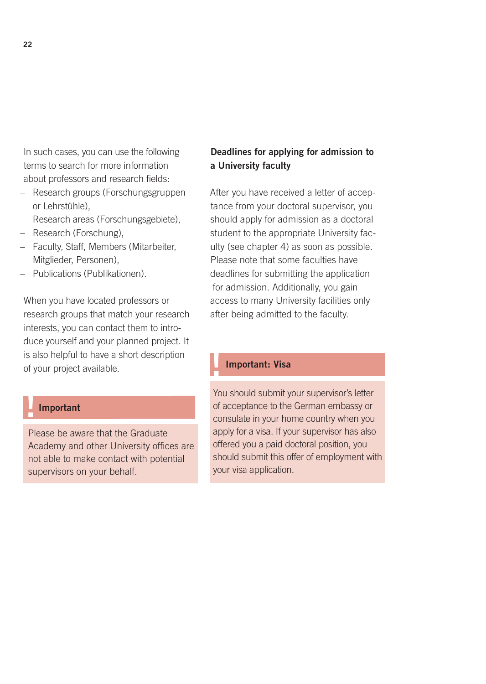In such cases, you can use the following terms to search for more information about professors and research fields:

- Research groups (Forschungsgruppen or Lehrstühle),
- Research areas (Forschungsgebiete),
- Research (Forschung),
- Faculty, Staff, Members (Mitarbeiter, Mitglieder, Personen),
- Publications (Publikationen).

When you have located professors or research groups that match your research interests, you can contact them to introduce yourself and your planned project. It is also helpful to have a short description of your project available.

#### **Important**

Please be aware that the Graduate Academy and other University offices are not able to make contact with potential supervisors on your behalf.

#### Deadlines for applying for admission to a University faculty

After you have received a letter of acceptance from your doctoral supervisor, you should apply for admission as a doctoral student to the appropriate University faculty (see chapter 4) as soon as possible. Please note that some faculties have deadlines for submitting the application for admission. Additionally, you gain access to many University facilities only after being admitted to the faculty.

#### Important: Visa

You should submit your supervisor's letter of acceptance to the German embassy or consulate in your home country when you apply for a visa. If your supervisor has also offered you a paid doctoral position, you should submit this offer of employment with your visa application.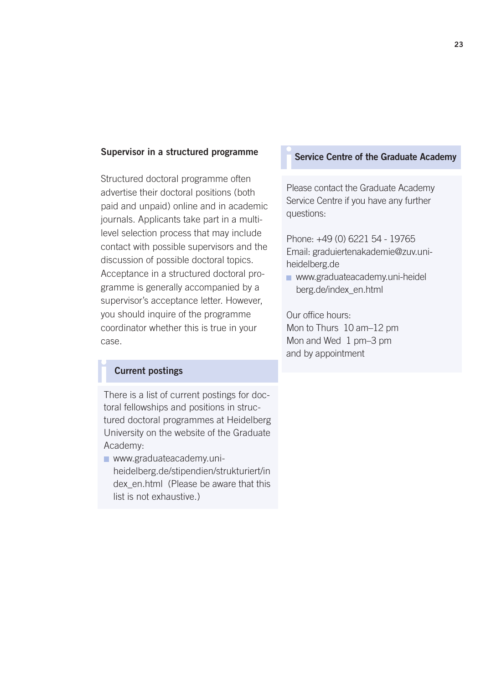#### Supervisor in a structured programme

Structured doctoral programme often advertise their doctoral positions (both paid and unpaid) online and in academic journals. Applicants take part in a multilevel selection process that may include contact with possible supervisors and the discussion of possible doctoral topics. Acceptance in a structured doctoral programme is generally accompanied by a supervisor's acceptance letter. However, you should inquire of the programme coordinator whether this is true in your case.

#### Current postings

i There is a list of current postings for doctoral fellowships and positions in structured doctoral programmes at Heidelberg University on the website of the Graduate Academy:

www.graduateacademy.uniheidelberg.de/stipendien/strukturiert/in [dex\\_en.html \(Please be aware that this](http://www.graduateacademy.uni-heidelberg.de/stipendien/strukturiert/index_en.html)  list is not exhaustive.)

#### Service Centre of the Graduate Academy

Please contact the Graduate Academy Service Centre if you have any further questions:

Phone: +49 (0) 6221 54 - 19765 Email: graduiertenakademie@zuv.uniheidelberg.de

**[www.graduateacademy.uni-heidel](http://www.graduateacademy.uni-heidelberg.de/index_en.html)** berg.de/index\_en.html

Our office hours: Mon to Thurs 10 am–12 pm Mon and Wed 1 pm–3 pm and by appointment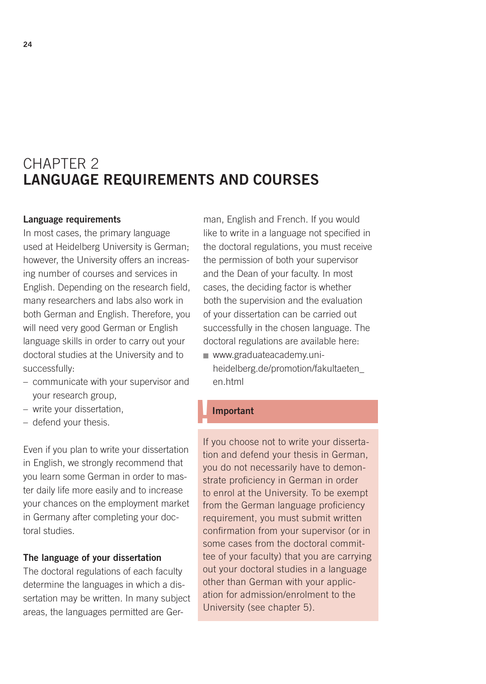## CHAPTER 2 LANGUAGE REQUIREMENTS AND COURSES

#### Language requirements

In most cases, the primary language used at Heidelberg University is German; however, the University offers an increasing number of courses and services in English. Depending on the research field, many researchers and labs also work in both German and English. Therefore, you will need very good German or English language skills in order to carry out your doctoral studies at the University and to successfully:

- communicate with your supervisor and your research group,
- write your dissertation,
- defend your thesis.

Even if you plan to write your dissertation in English, we strongly recommend that you learn some German in order to master daily life more easily and to increase your chances on the employment market in Germany after completing your doctoral studies.

#### The language of your dissertation

The doctoral regulations of each faculty determine the languages in which a dissertation may be written. In many subject areas, the languages permitted are German, English and French. If you would like to write in a language not specified in the doctoral regulations, you must receive the permission of both your supervisor and the Dean of your faculty. In most cases, the deciding factor is whether both the supervision and the evaluation of your dissertation can be carried out successfully in the chosen language. The doctoral regulations are available here: www.graduateacademy.uni-

[heidelberg.de/promotion/fakultaeten\\_](http://www.graduateacademy.uni-heidelberg.de/promotion/fakultaeten_ en.html) en.html

#### **Important**

If you choose not to write your dissertation and defend your thesis in German, you do not necessarily have to demonstrate proficiency in German in order to enrol at the University. To be exempt from the German language proficiency requirement, you must submit written confirmation from your supervisor (or in some cases from the doctoral committee of your faculty) that you are carrying out your doctoral studies in a language other than German with your application for admission/enrolment to the University (see chapter 5).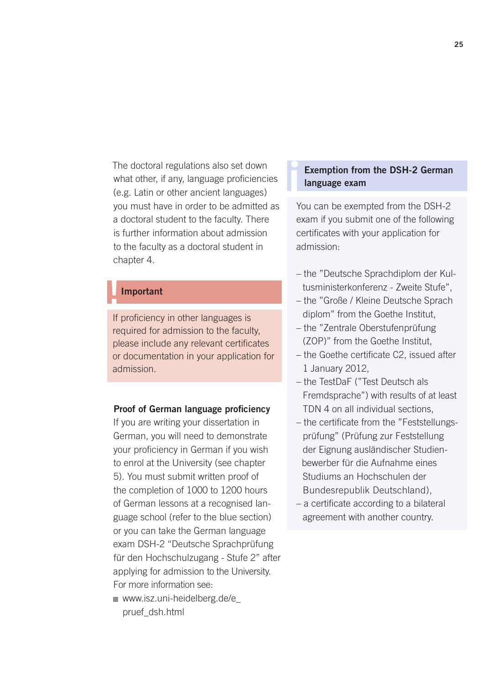The doctoral regulations also set down what other, if any, language proficiencies (e.g. Latin or other ancient languages) you must have in order to be admitted as a doctoral student to the faculty. There is further information about admission to the faculty as a doctoral student in chapter 4.

#### **Important**

If proficiency in other languages is required for admission to the faculty, please include any relevant certificates or documentation in your application for admission.

#### Proof of German language proficiency

If you are writing your dissertation in German, you will need to demonstrate your proficiency in German if you wish to enrol at the University (see chapter 5). You must submit written proof of the completion of 1000 to 1200 hours of German lessons at a recognised language school (refer to the blue section) or you can take the German language exam DSH-2 "Deutsche Sprachprüfung für den Hochschulzugang - Stufe 2" after applying for admission to the University. For more information see:

[www.isz.uni-heidelberg.de/e\\_](http://www.isz.uni-heidelberg.de/e_pruef_dsh.html) pruef\_dsh.html

## Exemption from the DSH-2 German<br>language exam

i

You can be exempted from the DSH-2 exam if you submit one of the following certificates with your application for admission:

- the "Deutsche Sprachdiplom der Kultusministerkonferenz - Zweite Stufe",
- the "Große / Kleine Deutsche Sprach diplom" from the Goethe Institut,
- the "Zentrale Oberstufenprüfung (ZOP)" from the Goethe Institut,
- the Goethe certificate C2, issued after 1 January 2012,
- the TestDaF ("Test Deutsch als Fremdsprache") with results of at least TDN 4 on all individual sections,
- the certificate from the "Feststellungsprüfung" (Prüfung zur Feststellung der Eignung ausländischer Studien bewerber für die Aufnahme eines Studiums an Hochschulen der Bundesrepublik Deutschland),
- a certificate according to a bilateral agreement with another country.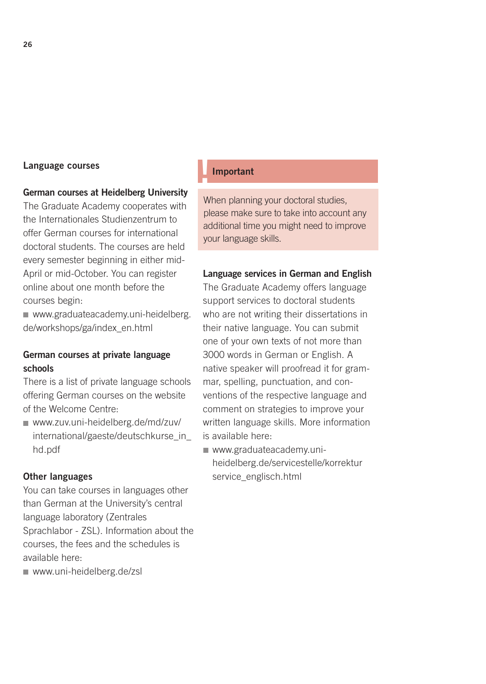# Language courses<br>
expansive contract the language of the language courses

#### German courses at Heidelberg University

The Graduate Academy cooperates with the Internationales Studienzentrum to offer German courses for international doctoral students. The courses are held every semester beginning in either mid-April or mid-October. You can register online about one month before the courses begin:

www.graduateacademy.uni-heidelberg. de/workshops/ga/index\_en.html

#### German courses at private language schools

There is a list of private language schools offering German courses on the website of the Welcome Centre:

www.zuv.uni-heidelberg.de/md/zuv/ [international/gaeste/deutschkurse\\_in\\_](http://www.zuv.uni-heidelberg.de/md/zuv/international/gaeste/deutschkurse_in_hd.pdf) hd.pdf

#### Other languages

You can take courses in languages other than German at the University's central language laboratory (Zentrales Sprachlabor - ZSL). Information about the courses, the fees and the schedules is available here:

www.uni-heidelberg.de/zsl

When planning your doctoral studies, please make sure to take into account any additional time you might need to improve your language skills.

#### Language services in German and English

The Graduate Academy offers language support services to doctoral students who are not writing their dissertations in their native language. You can submit one of your own texts of not more than 3000 words in German or English. A native speaker will proofread it for grammar, spelling, punctuation, and conventions of the respective language and comment on strategies to improve your written language skills. More information is available here:

■ www.graduateacademy.uni[heidelberg.de/servicestelle/korrektur](www.graduateacademy.uni-heidelberg.de/servicestelle/korrekturservice_englisch.html) service\_englisch.html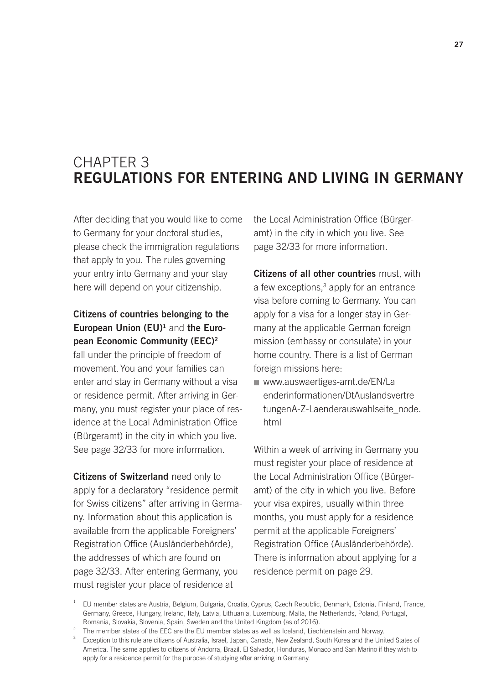### CHAPTER 3 REGULATIONS FOR ENTERING AND LIVING IN GERMANY

After deciding that you would like to come to Germany for your doctoral studies, please check the immigration regulations that apply to you. The rules governing your entry into Germany and your stay here will depend on your citizenship.

#### Citizens of countries belonging to the European Union (EU)<sup>1</sup> and the European Economic Community (EEC)2

fall under the principle of freedom of movement. You and your families can enter and stay in Germany without a visa or residence permit. After arriving in Germany, you must register your place of residence at the Local Administration Office (Bürgeramt) in the city in which you live. See page 32/33 for more information.

Citizens of Switzerland need only to apply for a declaratory "residence permit for Swiss citizens" after arriving in Germany. Information about this application is available from the applicable Foreigners' Registration Office (Ausländerbehörde), the addresses of which are found on page 32/33. After entering Germany, you must register your place of residence at

the Local Administration Office (Bürgeramt) in the city in which you live. See page 32/33 for more information.

Citizens of all other countries must, with a few exceptions,<sup>3</sup> apply for an entrance visa before coming to Germany. You can apply for a visa for a longer stay in Germany at the applicable German foreign mission (embassy or consulate) in your home country. There is a list of German foreign missions here:

www.auswaertiges-amt.de/EN/La enderinformationen/DtAuslandsvertre [tungenA-Z-Laenderauswahlseite\\_node.](http://www.auswaertiges-amt.de/EN/Laenderinformationen/DtAuslandsvertretungenA-Z-Laenderauswahlseite_node.html) html

Within a week of arriving in Germany you must register your place of residence at the Local Administration Office (Bürgeramt) of the city in which you live. Before your visa expires, usually within three months, you must apply for a residence permit at the applicable Foreigners' Registration Office (Ausländerbehörde). There is information about applying for a residence permit on page 29.

 $1$  EU member states are Austria, Belgium, Bulgaria, Croatia, Cyprus, Czech Republic, Denmark, Estonia, Finland, France, Germany, Greece, Hungary, Ireland, Italy, Latvia, Lithuania, Luxemburg, Malta, the Netherlands, Poland, Portugal, Romania, Slovakia, Slovenia, Spain, Sweden and the United Kingdom (as of 2016).

<sup>&</sup>lt;sup>2</sup> The member states of the EEC are the EU member states as well as Iceland, Liechtenstein and Norway.

<sup>&</sup>lt;sup>3</sup> Exception to this rule are citizens of Australia, Israel, Japan, Canada, New Zealand, South Korea and the United States of America. The same applies to citizens of Andorra, Brazil, El Salvador, Honduras, Monaco and San Marino if they wish to apply for a residence permit for the purpose of studying after arriving in Germany.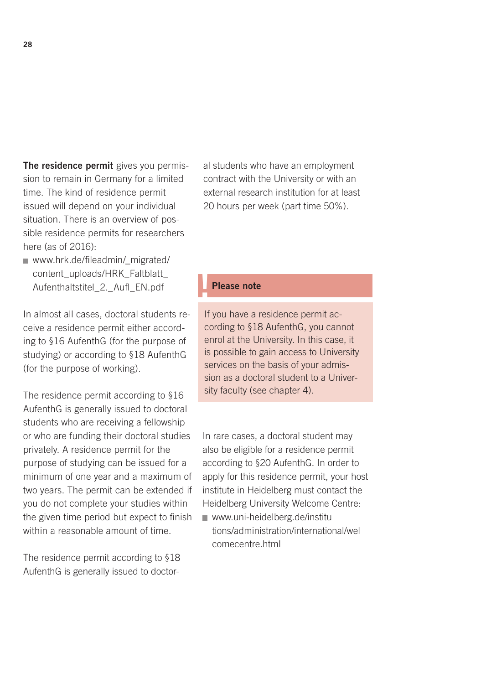The residence permit gives you permission to remain in Germany for a limited time. The kind of residence permit issued will depend on your individual situation. There is an overview of possible residence permits for researchers here (as of 2016):

[www.hrk.de/fileadmin/\\_migrated/](http://www.hrk.de/fileadmin/_migrated/content_uploads/HRK_Faltblatt_ Aufenthaltstitel_2._Aufl_EN.pdf) content\_uploads/HRK\_Faltblatt Aufenthaltstitel\_2.\_Aufl\_EN.pdf

In almost all cases, doctoral students receive a residence permit either according to §16 AufenthG (for the purpose of studying) or according to §18 AufenthG (for the purpose of working).

The residence permit according to §16 AufenthG is generally issued to doctoral students who are receiving a fellowship or who are funding their doctoral studies privately. A residence permit for the purpose of studying can be issued for a minimum of one year and a maximum of two years. The permit can be extended if you do not complete your studies within the given time period but expect to finish within a reasonable amount of time.

The residence permit according to §18 AufenthG is generally issued to doctoral students who have an employment contract with the University or with an external research institution for at least 20 hours per week (part time 50%).

#### Please note

If you have a residence permit according to §18 AufenthG, you cannot enrol at the University. In this case, it is possible to gain access to University services on the basis of your admission as a doctoral student to a University faculty (see chapter 4).

In rare cases, a doctoral student may also be eligible for a residence permit according to §20 AufenthG. In order to apply for this residence permit, your host institute in Heidelberg must contact the Heidelberg University Welcome Centre:

www.uni-heidelberg.de/institu [tions/administration/international/wel](http://www.uni-heidelberg.de/institutions/administration/international/welcomecentre.html) comecentre.html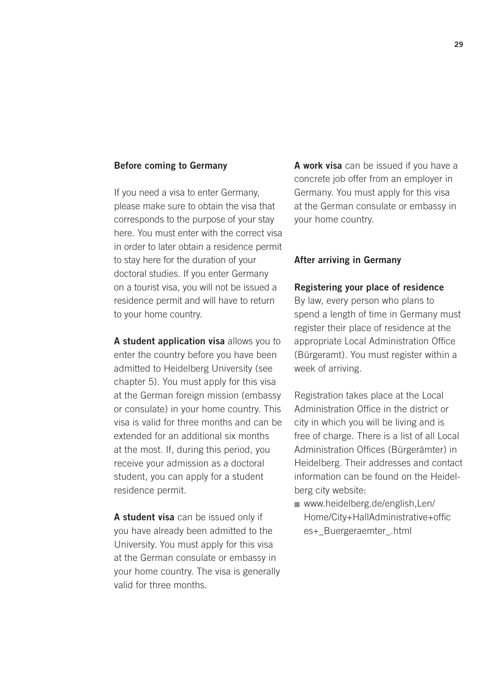#### Before coming to Germany

If you need a visa to enter Germany, please make sure to obtain the visa that corresponds to the purpose of your stay here. You must enter with the correct visa in order to later obtain a residence permit to stay here for the duration of your doctoral studies. If you enter Germany on a tourist visa, you will not be issued a residence permit and will have to return to your home country.

A student application visa allows you to enter the country before you have been admitted to Heidelberg University (see chapter 5). You must apply for this visa at the German foreign mission (embassy or consulate) in your home country. This visa is valid for three months and can be extended for an additional six months at the most. If, during this period, you receive your admission as a doctoral student, you can apply for a student residence permit.

A student visa can be issued only if you have already been admitted to the University. You must apply for this visa at the German consulate or embassy in your home country. The visa is generally valid for three months.

A work visa can be issued if you have a concrete job offer from an employer in Germany. You must apply for this visa at the German consulate or embassy in your home country.

#### After arriving in Germany

#### Registering your place of residence

By law, every person who plans to spend a length of time in Germany must register their place of residence at the appropriate Local Administration Office (Bürgeramt). You must register within a week of arriving.

Registration takes place at the Local Administration Office in the district or city in which you will be living and is free of charge. There is a list of all Local Administration Offices (Bürgerämter) in Heidelberg. Their addresses and contact information can be found on the Heidelberg city website:

www.heidelberg.de/english,Len/ [Home/City+HallAdministrative+offic](http://www.heidelberg.de/english,Len/Home/City+HallAdministrative+offices+_Buergeraemter_.html) es+\_Buergeraemter\_.html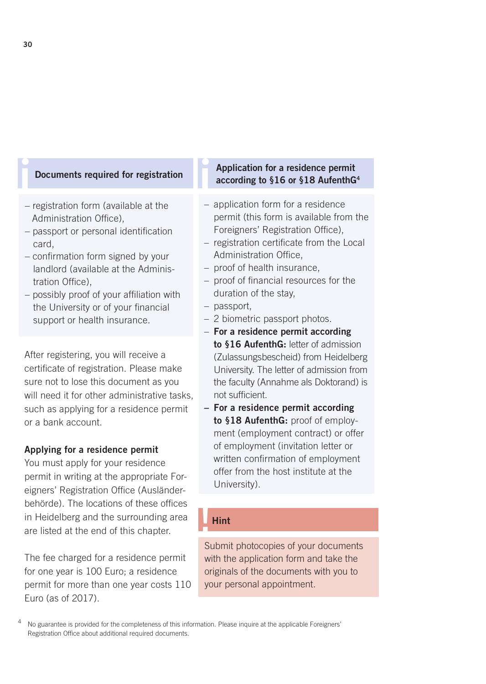- registration form (available at the Administration Office),
- passport or personal identification card,
- confirmation form signed by your landlord (available at the Adminis tration Office)
- possibly proof of your affiliation with the University or of your financial support or health insurance.

After registering, you will receive a certificate of registration. Please make sure not to lose this document as you will need it for other administrative tasks, such as applying for a residence permit or a bank account.

#### Applying for a residence permit

You must apply for your residence permit in writing at the appropriate Foreigners' Registration Office (Ausländerbehörde). The locations of these offices in Heidelberg and the surrounding area are listed at the end of this chapter.

The fee charged for a residence permit for one year is 100 Euro; a residence permit for more than one year costs 110 Euro (as of 2017).

## **i Documents required for registration** Application for a residence permit<br>according to §16 or §18 AufenthGording to §16 or §18 AufenthGording to §18 AufenthGording to \$18 AufenthGording to \$18 AufenthGording to \$18 Aufent according to §16 or §18 AufenthG4

- application form for a residence permit (this form is available from the Foreigners' Registration Office),
- registration certificate from the Local Administration Office,
- proof of health insurance,
- proof of financial resources for the duration of the stay,
- passport,
- 2 biometric passport photos.
- For a residence permit according to §16 AufenthG: letter of admission (Zulassungsbescheid) from Heidelberg University. The letter of admission from the faculty (Annahme als Doktorand) is not sufficient.
- For a residence permit according to §18 AufenthG: proof of employment (employment contract) or offer of employment (invitation letter or written confirmation of employment offer from the host institute at the University).

#### !Hint

Submit photocopies of your documents with the application form and take the originals of the documents with you to your personal appointment.

<sup>4</sup> No guarantee is provided for the completeness of this information. Please inquire at the applicable Foreigners' Registration Office about additional required documents.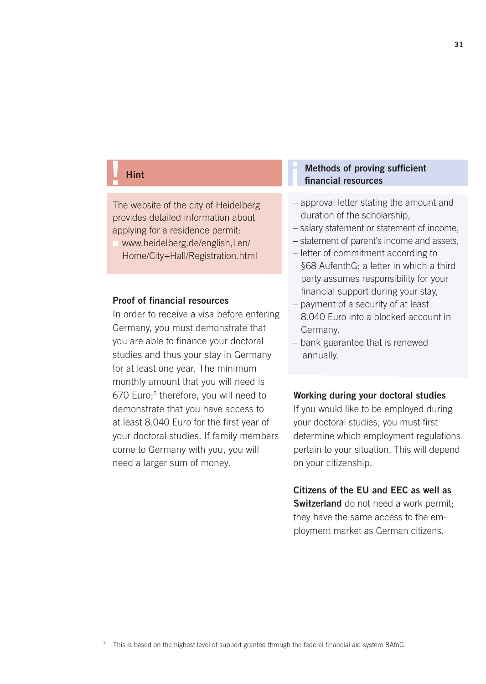#### ! Hint

The website of the city of Heidelberg provides detailed information about applying for a residence permit:

www.heidelberg.de/english,Len/ Home/City+Hall/Registration.html

#### Proof of financial resources

In order to receive a visa before entering Germany, you must demonstrate that you are able to finance your doctoral studies and thus your stay in Germany for at least one year. The minimum monthly amount that you will need is 670 Euro;<sup>5</sup> therefore, you will need to demonstrate that you have access to at least 8.040 Euro for the first year of your doctoral studies. If family members come to Germany with you, you will need a larger sum of money.

## Methods of proving sufficient<br>financial resources

- approval letter stating the amount and duration of the scholarship,
- salary statement or statement of income,
- statement of parent's income and assets,
- letter of commitment according to §68 AufenthG: a letter in which a third party assumes responsibility for your financial support during your stay,
- payment of a security of at least 8.040 Euro into a blocked account in Germany,
- bank guarantee that is renewed annually.

#### Working during your doctoral studies

If you would like to be employed during your doctoral studies, you must first determine which employment regulations pertain to your situation. This will depend on your citizenship.

### Citizens of the EU and EEC as well as

Switzerland do not need a work permit; they have the same access to the employment market as German citizens.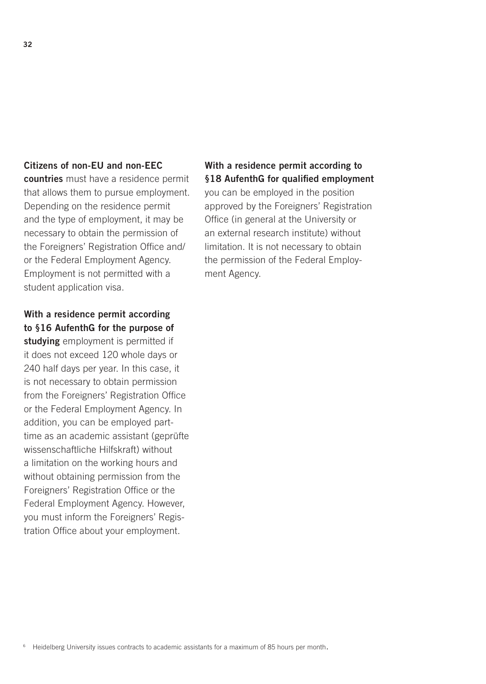#### Citizens of non-EU and non-EEC

countries must have a residence permit that allows them to pursue employment. Depending on the residence permit and the type of employment, it may be necessary to obtain the permission of the Foreigners' Registration Office and/ or the Federal Employment Agency. Employment is not permitted with a student application visa.

#### With a residence permit according to §16 AufenthG for the purpose of

studying employment is permitted if it does not exceed 120 whole days or 240 half days per year. In this case, it is not necessary to obtain permission from the Foreigners' Registration Office or the Federal Employment Agency. In addition, you can be employed parttime as an academic assistant (geprüfte wissenschaftliche Hilfskraft) without a limitation on the working hours and without obtaining permission from the Foreigners' Registration Office or the Federal Employment Agency. However, you must inform the Foreigners' Registration Office about your employment.

#### With a residence permit according to §18 AufenthG for qualified employment

you can be employed in the position approved by the Foreigners' Registration Office (in general at the University or an external research institute) without limitation. It is not necessary to obtain the permission of the Federal Employment Agency.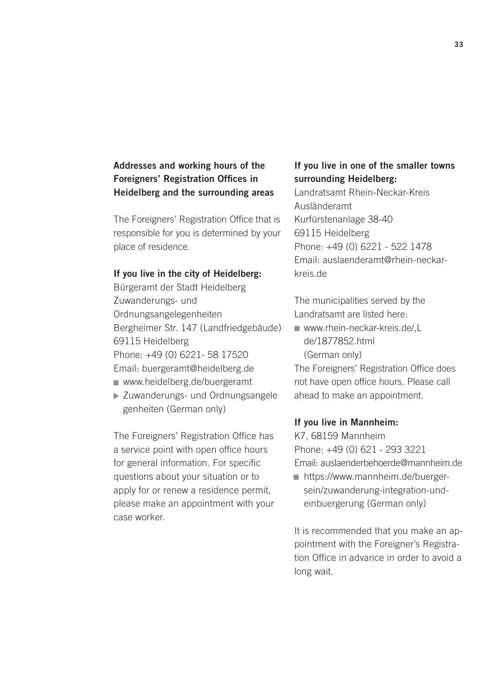#### Addresses and working hours of the Foreigners' Registration Offices in Heidelberg and the surrounding areas

The Foreigners' Registration Office that is responsible for you is determined by your place of residence.

#### If you live in the city of Heidelberg:

Bürgeramt der Stadt Heidelberg Zuwanderungs- und Ordnungsangelegenheiten Bergheimer Str. 147 (Landfriedgebäude) 69115 Heidelberg Phone: +49 (0) 6221- 58 17520 Email: buergeramt@heidelberg.de

- www.heidelberg.de/buergeramt
- Zuwanderungs- und Ordnungsangele genheiten (German only)

The Foreigners' Registration Office has a service point with open office hours for general information. For specific questions about your situation or to apply for or renew a residence permit, please make an appointment with your case worker.

#### If you live in one of the smaller towns surrounding Heidelberg:

Landratsamt Rhein-Neckar-Kreis Ausländeramt Kurfürstenanlage 38-40 69115 Heidelberg Phone: +49 (0) 6221 - 522 1478 Email: auslaenderamt@rhein-neckarkreis.de

The municipalities served by the Landratsamt are listed here:

■ www.rhein-neckar-kreis.de/.L de/1877852.html (German only)

The Foreigners' Registration Office does not have open office hours. Please call ahead to make an appointment.

#### If you live in Mannheim:

K7, 68159 Mannheim Phone: +49 (0) 621 - 293 3221 Email: auslaenderbehoerde@mannheim.de [https://www.mannheim.de/buerger-](https://www.mannheim.de/buerger-sein/zuwanderung-integration-und-einbuergerung)

sein/zuwanderung-integration-undeinbuergerung (German only)

It is recommended that you make an appointment with the Foreigner's Registration Office in advance in order to avoid a long wait.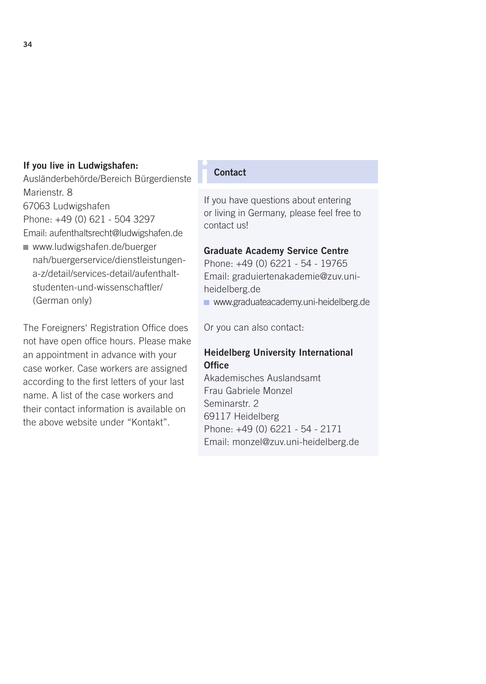#### If you live in Ludwigshafen:

Ausländerbehörde/Bereich Bürgerdienste Marienstr. 8

67063 Ludwigshafen Phone: +49 (0) 621 - 504 3297

Email: aufenthaltsrecht@ludwigshafen.de

www.ludwigshafen.de/buerger [nah/buergerservice/dienstleistungen](http://www.ludwigshafen.de/buergernah/buergerservice/dienstleistungen-a-z/detail/services-detail/aufenthalt-studenten-und-wissenschaftler/)a-z/detail/services-detail/aufenthaltstudenten-und-wissenschaftler/ (German only)

The Foreigners' Registration Office does not have open office hours. Please make an appointment in advance with your case worker. Case workers are assigned according to the first letters of your last name. A list of the case workers and their contact information is available on the above website under "Kontakt".

#### **Contact**

If you have questions about entering or living in Germany, please feel free to contact us!

#### Graduate Academy Service Centre

Phone: +49 (0) 6221 - 54 - 19765 Email: graduiertenakademie@zuv.uniheidelberg.de www.graduateacademy.uni-heidelberg.de

Or you can also contact:

#### Heidelberg University International **Office**

Akademisches Auslandsamt Frau Gabriele Monzel Seminarstr. 2 69117 Heidelberg Phone: +49 (0) 6221 - 54 - 2171 Email: monzel@zuv.uni-heidelberg.de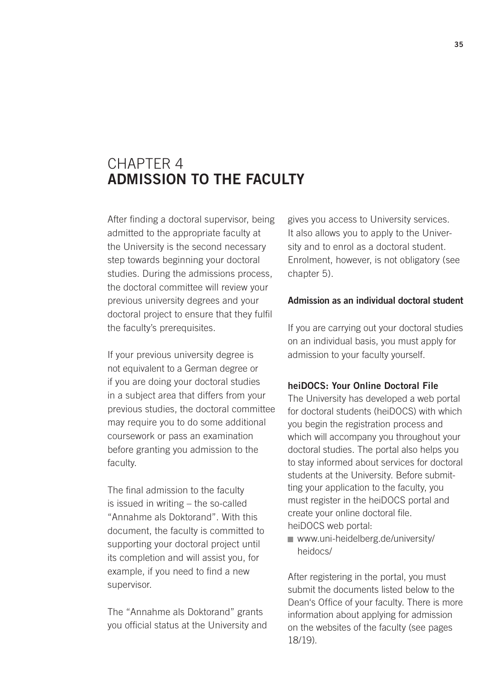### CHAPTER 4 ADMISSION TO THE FACULTY

After finding a doctoral supervisor, being admitted to the appropriate faculty at the University is the second necessary step towards beginning your doctoral studies. During the admissions process, the doctoral committee will review your previous university degrees and your doctoral project to ensure that they fulfil the faculty's prerequisites.

If your previous university degree is not equivalent to a German degree or if you are doing your doctoral studies in a subject area that differs from your previous studies, the doctoral committee may require you to do some additional coursework or pass an examination before granting you admission to the faculty.

The final admission to the faculty is issued in writing – the so-called "Annahme als Doktorand". With this document, the faculty is committed to supporting your doctoral project until its completion and will assist you, for example, if you need to find a new supervisor.

The "Annahme als Doktorand" grants you official status at the University and gives you access to University services. It also allows you to apply to the University and to enrol as a doctoral student. Enrolment, however, is not obligatory (see chapter 5).

#### Admission as an individual doctoral student

If you are carrying out your doctoral studies on an individual basis, you must apply for admission to your faculty yourself.

#### heiDOCS: Your Online Doctoral File

The University has developed a web portal for doctoral students (heiDOCS) with which you begin the registration process and which will accompany you throughout your doctoral studies. The portal also helps you to stay informed about services for doctoral students at the University. Before submitting your application to the faculty, you must register in the heiDOCS portal and create your online doctoral file. heiDOCS web portal:

■ [www.uni-heidelberg.de/university/](www.uni-heidelberg.de/university/heidocs/) heidocs/

After registering in the portal, you must submit the documents listed below to the Dean's Office of your faculty. There is more information about applying for admission on the websites of the faculty (see pages 18/19).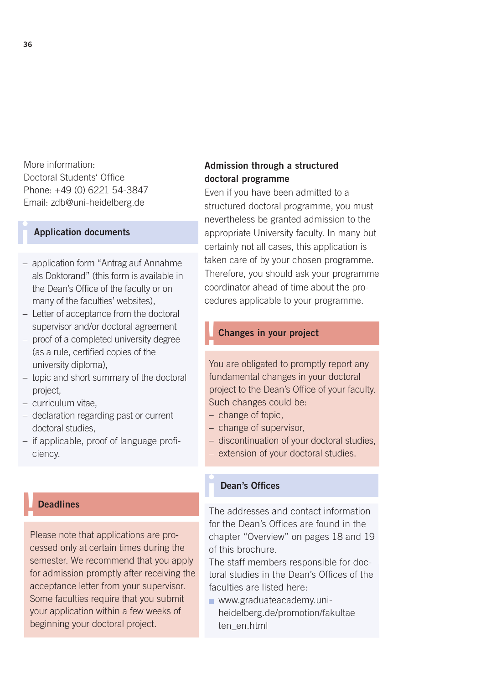More information: Doctoral Students' Office Phone: +49 (0) 6221 54-3847 Email: zdb@uni-heidelberg.de

#### **Application documents**

- application form "Antrag auf Annahme als Doktorand" (this form is available in the Dean's Office of the faculty or on many of the faculties' websites).
- Letter of acceptance from the doctoral supervisor and/or doctoral agreement
- proof of a completed university degree (as a rule, certified copies of the university diploma),
- topic and short summary of the doctoral project,
- curriculum vitae,
- declaration regarding past or current doctoral studies,
- if applicable, proof of language proficiency.

#### **Deadlines**

Please note that applications are processed only at certain times during the semester. We recommend that you apply for admission promptly after receiving the acceptance letter from your supervisor. Some faculties require that you submit your application within a few weeks of beginning your doctoral project.

#### Admission through a structured doctoral programme

Even if you have been admitted to a structured doctoral programme, you must nevertheless be granted admission to the appropriate University faculty. In many but certainly not all cases, this application is taken care of by your chosen programme. Therefore, you should ask your programme coordinator ahead of time about the procedures applicable to your programme.

#### !Changes in your project

You are obligated to promptly report any fundamental changes in your doctoral project to the Dean's Office of your faculty. Such changes could be:

- change of topic,
- change of supervisor,
- discontinuation of your doctoral studies,
- extension of your doctoral studies.

#### Dean's Offices

The addresses and contact information for the Dean's Offices are found in the chapter "Overview" on pages 18 and 19 of this brochure.

The staff members responsible for doctoral studies in the Dean's Offices of the faculties are listed here:

**www.graduateacademy.uni**[heidelberg.de/promotion/fakultae](http://www.graduateacademy.uni-heidelberg.de/promotion/fakultaeten_en.html) ten\_en.html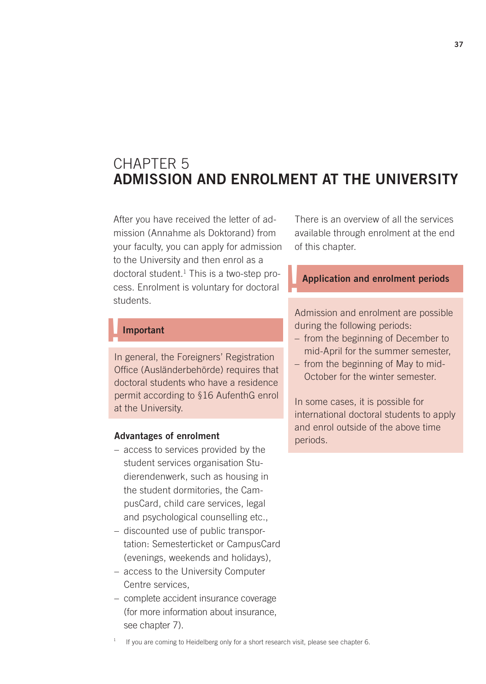# CHAPTER 5 ADMISSION AND ENROLMENT AT THE UNIVERSITY

After you have received the letter of admission (Annahme als Doktorand) from your faculty, you can apply for admission to the University and then enrol as a doctoral student.1 This is a two-step process. Enrolment is voluntary for doctoral students.

**Important** 

In general, the Foreigners' Registration Office (Ausländerbehörde) requires that doctoral students who have a residence permit according to §16 AufenthG enrol at the University.

#### Advantages of enrolment

- access to services provided by the student services organisation Studierendenwerk, such as housing in the student dormitories, the CampusCard, child care services, legal and psychological counselling etc.,
- discounted use of public transportation: Semesterticket or CampusCard (evenings, weekends and holidays),
- access to the University Computer Centre services,
- complete accident insurance coverage (for more information about insurance, see chapter 7).

There is an overview of all the services available through enrolment at the end of this chapter.

### Application and enrolment periods

Admission and enrolment are possible during the following periods:

- from the beginning of December to mid-April for the summer semester,
- from the beginning of May to mid-October for the winter semester.

In some cases, it is possible for international doctoral students to apply and enrol outside of the above time periods.

If you are coming to Heidelberg only for a short research visit, please see chapter 6.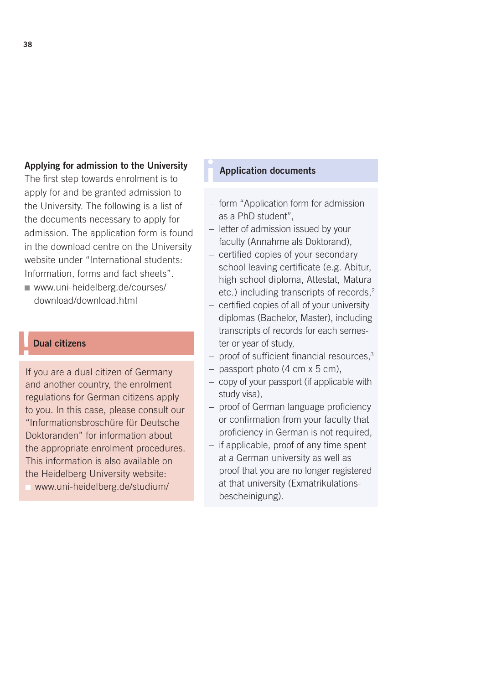#### Applying for admission to the University

The first step towards enrolment is to apply for and be granted admission to the University. The following is a list of the documents necessary to apply for admission. The application form is found in the download centre on the University website under "International students: Information, forms and fact sheets".

www.uni-heidelberg.de/courses/ download/download.html

### Dual citizens

If you are a dual citizen of Germany and another country, the enrolment regulations for German citizens apply to you. In this case, please consult our "Informationsbroschüre für Deutsche Doktoranden" for information about the appropriate enrolment procedures. This information is also available on the Heidelberg University website: www.uni-heidelberg.de/studium/

### **Application documents**

- form "Application form for admission as a PhD student",
- letter of admission issued by your faculty (Annahme als Doktorand),
- certified copies of your secondary school leaving certificate (e.g. Abitur, high school diploma, Attestat, Matura etc.) including transcripts of records,<sup>2</sup>
- certified copies of all of your university diplomas (Bachelor, Master), including transcripts of records for each semester or year of study,
- proof of sufficient financial resources,<sup>3</sup>
- $-$  passport photo (4 cm  $\times$  5 cm).
- copy of your passport (if applicable with study visa),
- proof of German language proficiency or confirmation from your faculty that proficiency in German is not required,
- if applicable, proof of any time spent at a German university as well as proof that you are no longer registered at that university (Exmatrikulationsbescheinigung).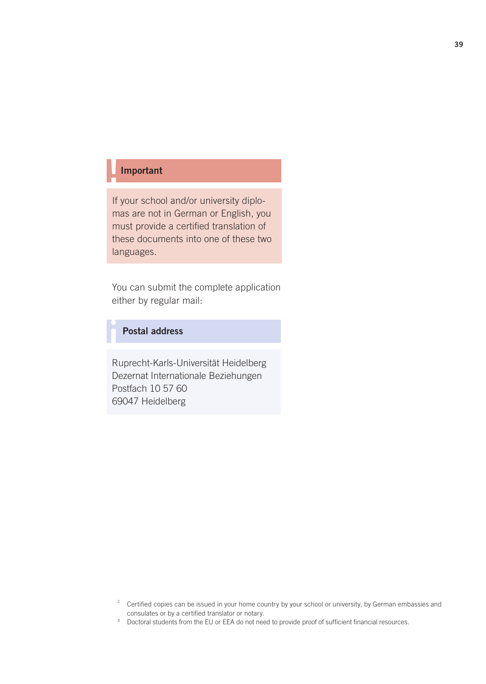## **Important**

If your school and/or university diplomas are not in German or English, you must provide a certified translation of these documents into one of these two languages.

You can submit the complete application either by regular mail:

### Postal address

Ruprecht-Karls-Universität Heidelberg Dezernat Internationale Beziehungen Postfach 10 57 60 69047 Heidelberg

<sup>3</sup> Doctoral students from the EU or EEA do not need to provide proof of sufficient financial resources.

<sup>&</sup>lt;sup>2</sup> Certified copies can be issued in your home country by your school or university, by German embassies and consulates or by a certified translator or notary.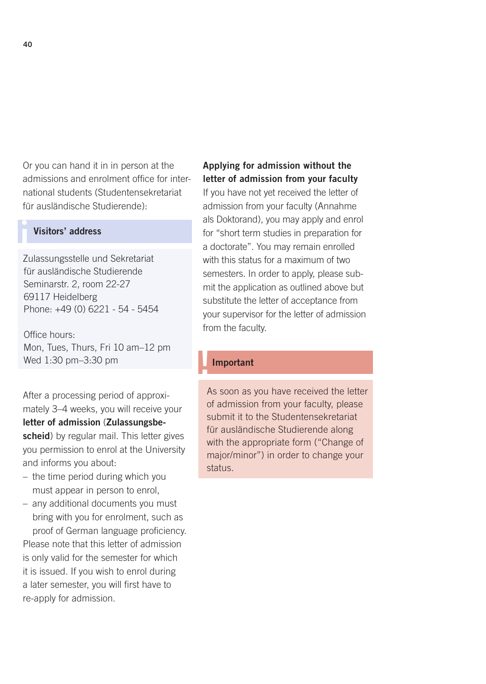Or you can hand it in in person at the admissions and enrolment office for international students (Studentensekretariat für ausländische Studierende):

### Visitors' address

Zulassungsstelle und Sekretariat für ausländische Studierende Seminarstr. 2, room 22-27 69117 Heidelberg Phone: +49 (0) 6221 - 54 - 5454

Office hours: Mon, Tues, Thurs, Fri 10 am–12 pm Wed 1:30 pm–3:30 pm

After a processing period of approximately 3–4 weeks, you will receive your letter of admission (Zulassungsbescheid) by regular mail. This letter gives you permission to enrol at the University and informs you about:

- the time period during which you must appear in person to enrol,
- any additional documents you must bring with you for enrolment, such as proof of German language proficiency. Please note that this letter of admission is only valid for the semester for which it is issued. If you wish to enrol during a later semester, you will first have to re-apply for admission.

### Applying for admission without the letter of admission from your faculty

If you have not yet received the letter of admission from your faculty (Annahme als Doktorand), you may apply and enrol for "short term studies in preparation for a doctorate". You may remain enrolled with this status for a maximum of two semesters. In order to apply, please submit the application as outlined above but substitute the letter of acceptance from your supervisor for the letter of admission from the faculty.

### **Important**

As soon as you have received the letter of admission from your faculty, please submit it to the Studentensekretariat für ausländische Studierende along with the appropriate form ("Change of major/minor") in order to change your status.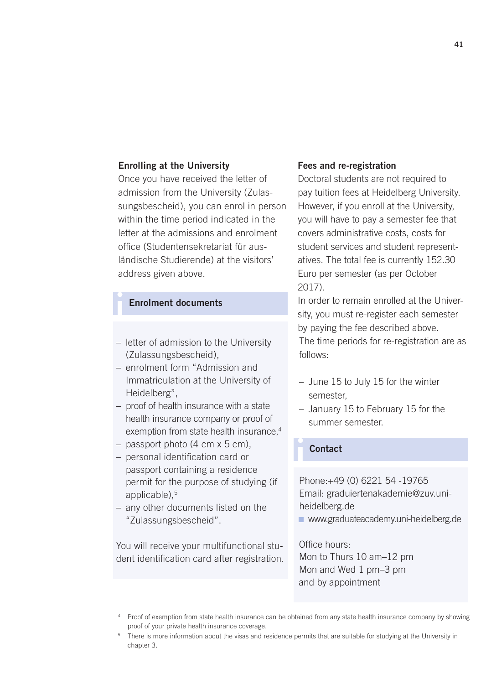#### Enrolling at the University

Once you have received the letter of admission from the University (Zulassungsbescheid), you can enrol in person within the time period indicated in the letter at the admissions and enrolment office (Studentensekretariat für ausländische Studierende) at the visitors' address given above.

#### **Enrolment documents**

- letter of admission to the University (Zulassungsbescheid),
- enrolment form "Admission and Immatriculation at the University of Heidelberg",
- proof of health insurance with a state health insurance company or proof of exemption from state health insurance,<sup>4</sup>
- passport photo (4 cm x 5 cm),
- personal identification card or passport containing a residence permit for the purpose of studying (if applicable).<sup>5</sup>
- any other documents listed on the "Zulassungsbescheid".

You will receive your multifunctional student identification card after registration.

#### Fees and re-registration

Doctoral students are not required to pay tuition fees at Heidelberg University. However, if you enroll at the University, you will have to pay a semester fee that covers administrative costs, costs for student services and student representatives. The total fee is currently 152.30 Euro per semester (as per October 2017).

In order to remain enrolled at the University, you must re-register each semester by paying the fee described above. The time periods for re-registration are as follows:

- June 15 to July 15 for the winter semester,
- January 15 to February 15 for the summer semester.

#### **Contact**

Phone:+49 (0) 6221 54 -19765 Email: graduiertenakademie@zuv.uniheidelberg.de

www.graduateacademy.uni-heidelberg.de

Office hours: Mon to Thurs 10 am–12 pm Mon and Wed 1 pm–3 pm and by appointment

<sup>4</sup> Proof of exemption from state health insurance can be obtained from any state health insurance company by showing proof of your private health insurance coverage.

<sup>&</sup>lt;sup>5</sup> There is more information about the visas and residence permits that are suitable for studying at the University in chapter 3.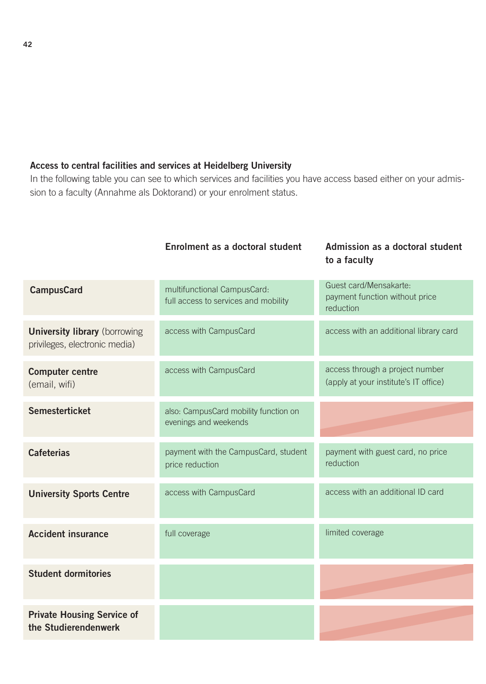### Access to central facilities and services at Heidelberg University

In the following table you can see to which services and facilities you have access based either on your admission to a faculty (Annahme als Doktorand) or your enrolment status.

Enrolment as a doctoral student Admission as a doctoral student

|                                                                       |                                                                     | to a faculty                                                             |
|-----------------------------------------------------------------------|---------------------------------------------------------------------|--------------------------------------------------------------------------|
| <b>CampusCard</b>                                                     | multifunctional CampusCard:<br>full access to services and mobility | Guest card/Mensakarte:<br>payment function without price<br>reduction    |
| <b>University library</b> (borrowing<br>privileges, electronic media) | access with CampusCard                                              | access with an additional library card                                   |
| <b>Computer centre</b><br>(email, wifi)                               | access with CampusCard                                              | access through a project number<br>(apply at your institute's IT office) |
| <b>Semesterticket</b>                                                 | also: CampusCard mobility function on<br>evenings and weekends      |                                                                          |
| <b>Cafeterias</b>                                                     | payment with the CampusCard, student<br>price reduction             | payment with guest card, no price<br>reduction                           |
| <b>University Sports Centre</b>                                       | access with CampusCard                                              | access with an additional ID card                                        |
| <b>Accident insurance</b>                                             | full coverage                                                       | limited coverage                                                         |
| <b>Student dormitories</b>                                            |                                                                     |                                                                          |
| <b>Private Housing Service of</b><br>the Studierendenwerk             |                                                                     |                                                                          |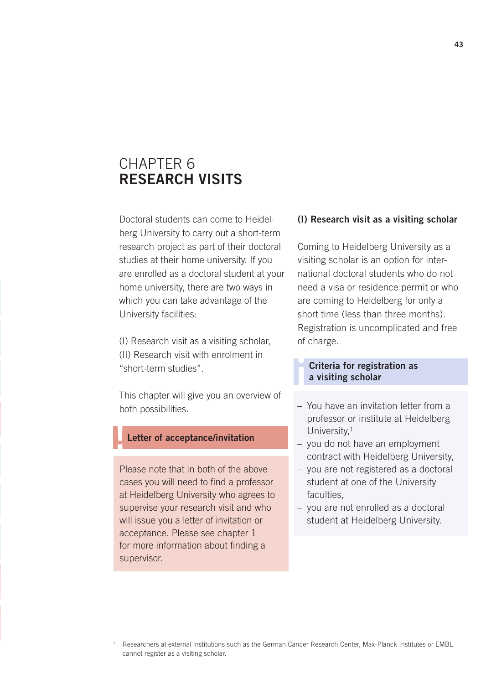# CHAPTER 6 RESEARCH VISITS

Doctoral students can come to Heidelberg University to carry out a short-term research project as part of their doctoral studies at their home university. If you are enrolled as a doctoral student at your home university, there are two ways in which you can take advantage of the University facilities:

(I) Research visit as a visiting scholar, (II) Research visit with enrolment in "short-term studies".

This chapter will give you an overview of both possibilities.

#### Letter of acceptance/invitation

Please note that in both of the above cases you will need to find a professor at Heidelberg University who agrees to supervise your research visit and who will issue you a letter of invitation or acceptance. Please see chapter 1 for more information about finding a supervisor.

#### (I) Research visit as a visiting scholar

Coming to Heidelberg University as a visiting scholar is an option for international doctoral students who do not need a visa or residence permit or who are coming to Heidelberg for only a short time (less than three months). Registration is uncomplicated and free of charge.

#### Criteria for registration as a visiting scholar

i

- You have an invitation letter from a professor or institute at Heidelberg University,<sup>1</sup>
- you do not have an employment contract with Heidelberg University,
- you are not registered as a doctoral student at one of the University faculties.
- you are not enrolled as a doctoral student at Heidelberg University.

<sup>&</sup>lt;sup>1</sup> Researchers at external institutions such as the German Cancer Research Center, Max-Planck Institutes or EMBL cannot register as a visiting scholar.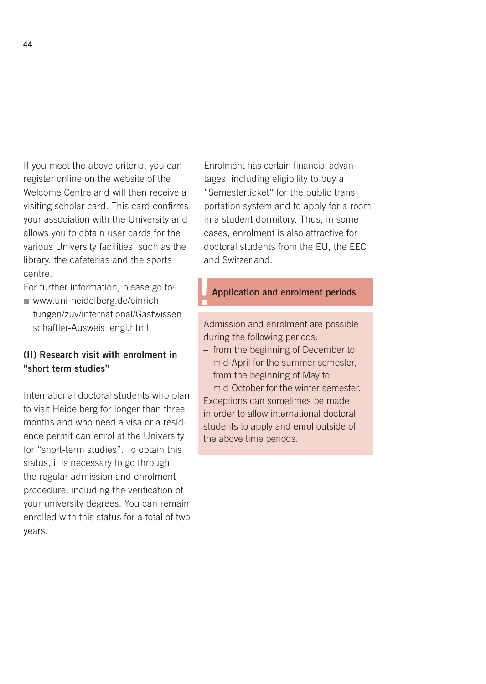If you meet the above criteria, you can register online on the website of the Welcome Centre and will then receive a visiting scholar card. This card confirms your association with the University and allows you to obtain user cards for the various University facilities, such as the library, the cafeterias and the sports centre.

For further information, please go to:

www.uni-heidelberg.de/einrich [tungen/zuv/international/Gastwissen](http://www.uni-heidelberg.de/einrichtungen/zuv/international/Gastwissenschaftler-Ausweis_engl.html) schaftler-Ausweis\_engl.html

### (II) Research visit with enrolment in "short term studies"

International doctoral students who plan to visit Heidelberg for longer than three months and who need a visa or a residence permit can enrol at the University for "short-term studies". To obtain this status, it is necessary to go through the regular admission and enrolment procedure, including the verification of your university degrees. You can remain enrolled with this status for a total of two years.

Enrolment has certain financial advantages, including eligibility to buy a "Semesterticket" for the public transportation system and to apply for a room in a student dormitory. Thus, in some cases, enrolment is also attractive for doctoral students from the EU, the EEC and Switzerland.

### Application and enrolment periods

Admission and enrolment are possible during the following periods:

- from the beginning of December to mid-April for the summer semester,
- from the beginning of May to mid-October for the winter semester. Exceptions can sometimes be made in order to allow international doctoral students to apply and enrol outside of the above time periods.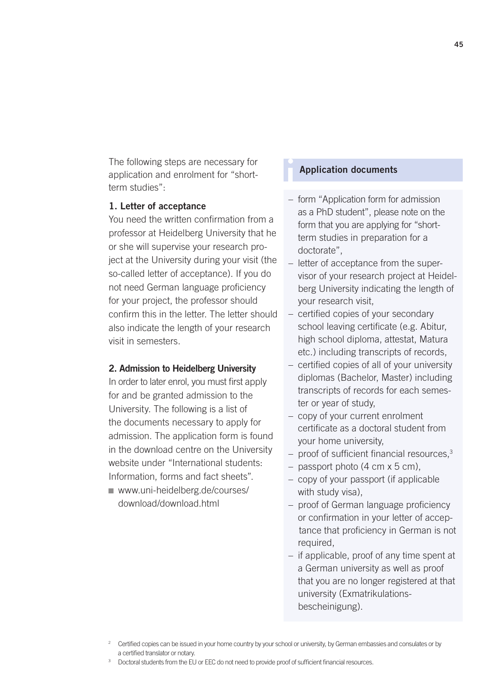The following steps are necessary for application and enrolment for "shortterm studies":

### 1. Letter of acceptance

You need the written confirmation from a professor at Heidelberg University that he or she will supervise your research project at the University during your visit (the so-called letter of acceptance). If you do not need German language proficiency for your project, the professor should confirm this in the letter. The letter should also indicate the length of your research visit in semesters.

#### 2. Admission to Heidelberg University

In order to later enrol, you must first apply for and be granted admission to the University. The following is a list of the documents necessary to apply for admission. The application form is found in the download centre on the University website under "International students: Information, forms and fact sheets". [www.uni-heidelberg.de/courses/](http://www.uni-heidelberg.de/courses/download/download.html)

download/download.html

### **Application documents**

- form "Application form for admission as a PhD student", please note on the form that you are applying for "shortterm studies in preparation for a doctorate",
- letter of acceptance from the supervisor of your research project at Heidelberg University indicating the length of your research visit,
- certified copies of your secondary school leaving certificate (e.g. Abitur, high school diploma, attestat, Matura etc.) including transcripts of records,
- certified copies of all of your university diplomas (Bachelor, Master) including transcripts of records for each semester or year of study,
- copy of your current enrolment certificate as a doctoral student from your home university,
- proof of sufficient financial resources,<sup>3</sup>
- passport photo (4 cm x 5 cm),
- copy of your passport (if applicable with study visa),
- proof of German language proficiency or confirmation in your letter of accep tance that proficiency in German is not required,
- if applicable, proof of any time spent at a German university as well as proof that you are no longer registered at that university (Exmatrikulationsbescheinigung).

<sup>&</sup>lt;sup>2</sup> Certified copies can be issued in your home country by your school or university, by German embassies and consulates or by a certified translator or notary.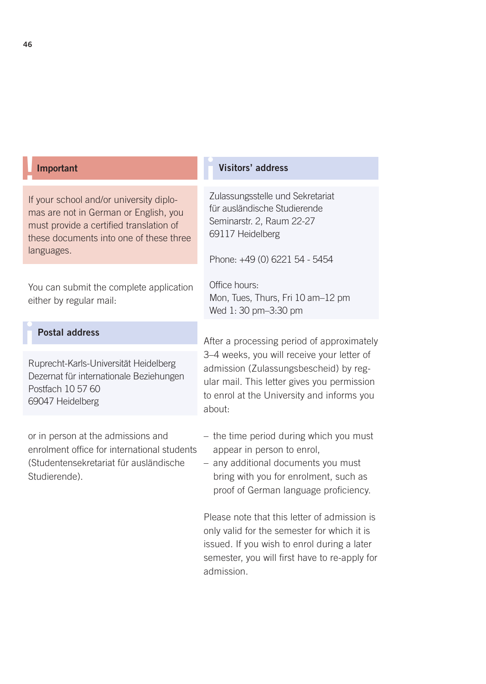#### **Important**

If your school and/or university diplomas are not in German or English, you must provide a certified translation of these documents into one of these three languages.

You can submit the complete application either by regular mail:

### Postal address

Ruprecht-Karls-Universität Heidelberg Dezernat für internationale Beziehungen Postfach 10 57 60 69047 Heidelberg

or in person at the admissions and enrolment office for international students (Studentensekretariat für ausländische Studierende).

#### Visitors' address

Zulassungsstelle und Sekretariat für ausländische Studierende Seminarstr. 2, Raum 22-27 69117 Heidelberg

Phone: +49 (0) 6221 54 - 5454

Office hours: Mon, Tues, Thurs, Fri 10 am–12 pm Wed 1: 30 pm–3:30 pm

After a processing period of approximately 3–4 weeks, you will receive your letter of admission (Zulassungsbescheid) by regular mail. This letter gives you permission to enrol at the University and informs you about:

- the time period during which you must appear in person to enrol,
- any additional documents you must bring with you for enrolment, such as proof of German language proficiency.

Please note that this letter of admission is only valid for the semester for which it is issued. If you wish to enrol during a later semester, you will first have to re-apply for admission.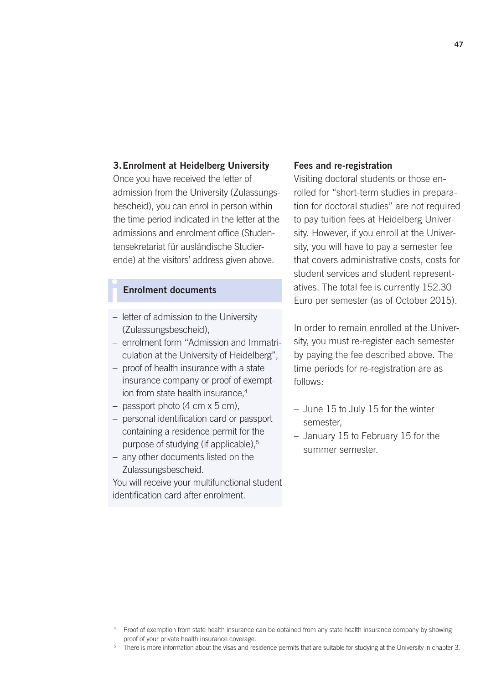#### 3.Enrolment at Heidelberg University

Once you have received the letter of admission from the University (Zulassungsbescheid), you can enrol in person within the time period indicated in the letter at the admissions and enrolment office (Studentensekretariat für ausländische Studierende) at the visitors' address given above.

### **Enrolment documents**

- letter of admission to the University (Zulassungsbescheid),
- enrolment form "Admission and Immatriculation at the University of Heidelberg",
- proof of health insurance with a state insurance company or proof of exemption from state health insurance.<sup>4</sup>
- $-$  passport photo (4 cm  $\times$  5 cm).
- personal identification card or passport containing a residence permit for the purpose of studying (if applicable),<sup>5</sup>
- any other documents listed on the Zulassungsbescheid.

You will receive your multifunctional student identification card after enrolment.

#### Fees and re-registration

Visiting doctoral students or those enrolled for "short-term studies in preparation for doctoral studies" are not required to pay tuition fees at Heidelberg University. However, if you enroll at the University, you will have to pay a semester fee that covers administrative costs, costs for student services and student representatives. The total fee is currently 152.30 Euro per semester (as of October 2015).

In order to remain enrolled at the University, you must re-register each semester by paying the fee described above. The time periods for re-registration are as follows:

- June 15 to July 15 for the winter semester,
- January 15 to February 15 for the summer semester.

<sup>5</sup> There is more information about the visas and residence permits that are suitable for studying at the University in chapter 3.

<sup>4</sup> Proof of exemption from state health insurance can be obtained from any state health insurance company by showing proof of your private health insurance coverage.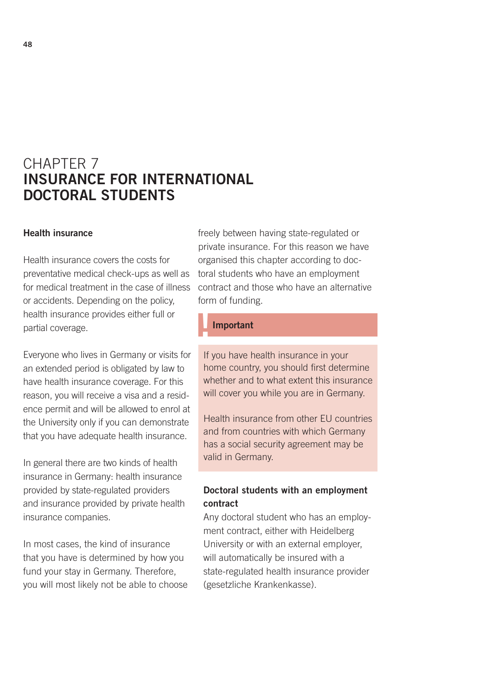# CHAPTER 7 INSURANCE FOR INTERNATIONAL DOCTORAL STUDENTS

#### Health insurance

Health insurance covers the costs for preventative medical check-ups as well as for medical treatment in the case of illness or accidents. Depending on the policy, health insurance provides either full or partial coverage.

Everyone who lives in Germany or visits for an extended period is obligated by law to have health insurance coverage. For this reason, you will receive a visa and a residence permit and will be allowed to enrol at the University only if you can demonstrate that you have adequate health insurance.

In general there are two kinds of health insurance in Germany: health insurance provided by state-regulated providers and insurance provided by private health insurance companies.

In most cases, the kind of insurance that you have is determined by how you fund your stay in Germany. Therefore, you will most likely not be able to choose

freely between having state-regulated or private insurance. For this reason we have organised this chapter according to doctoral students who have an employment contract and those who have an alternative form of funding.

#### **Important**

If you have health insurance in your home country, you should first determine whether and to what extent this insurance will cover you while you are in Germany.

Health insurance from other EU countries and from countries with which Germany has a social security agreement may be valid in Germany.

### Doctoral students with an employment contract

Any doctoral student who has an employment contract, either with Heidelberg University or with an external employer, will automatically be insured with a state-regulated health insurance provider (gesetzliche Krankenkasse).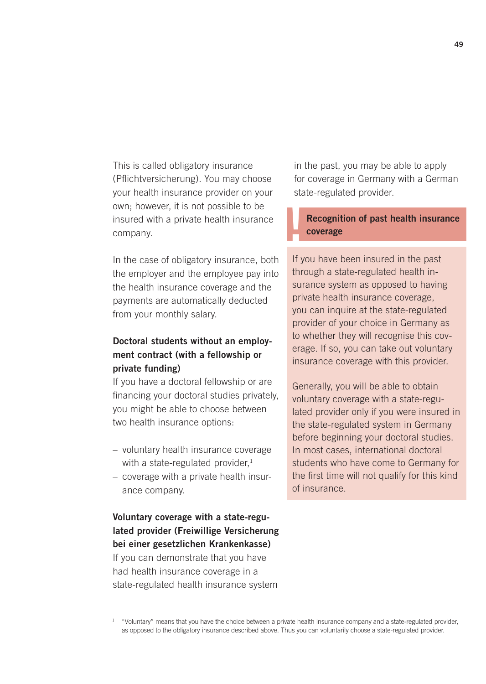This is called obligatory insurance (Pflichtversicherung). You may choose your health insurance provider on your own; however, it is not possible to be insured with a private health insurance company.

In the case of obligatory insurance, both the employer and the employee pay into the health insurance coverage and the payments are automatically deducted from your monthly salary.

### Doctoral students without an employment contract (with a fellowship or private funding)

If you have a doctoral fellowship or are financing your doctoral studies privately, you might be able to choose between two health insurance options:

- voluntary health insurance coverage with a state-regulated provider, $1$
- coverage with a private health insurance company.

Voluntary coverage with a state-regulated provider (Freiwillige Versicherung bei einer gesetzlichen Krankenkasse) If you can demonstrate that you have had health insurance coverage in a state-regulated health insurance system

in the past, you may be able to apply for coverage in Germany with a German state-regulated provider.

## !<br>! Recognition of past health insurance coverage

If you have been insured in the past through a state-regulated health insurance system as opposed to having private health insurance coverage, you can inquire at the state-regulated provider of your choice in Germany as to whether they will recognise this coverage. If so, you can take out voluntary insurance coverage with this provider.

Generally, you will be able to obtain voluntary coverage with a state-regulated provider only if you were insured in the state-regulated system in Germany before beginning your doctoral studies. In most cases, international doctoral students who have come to Germany for the first time will not qualify for this kind of insurance.

 $1$  "Voluntary" means that you have the choice between a private health insurance company and a state-regulated provider, as opposed to the obligatory insurance described above. Thus you can voluntarily choose a state-regulated provider.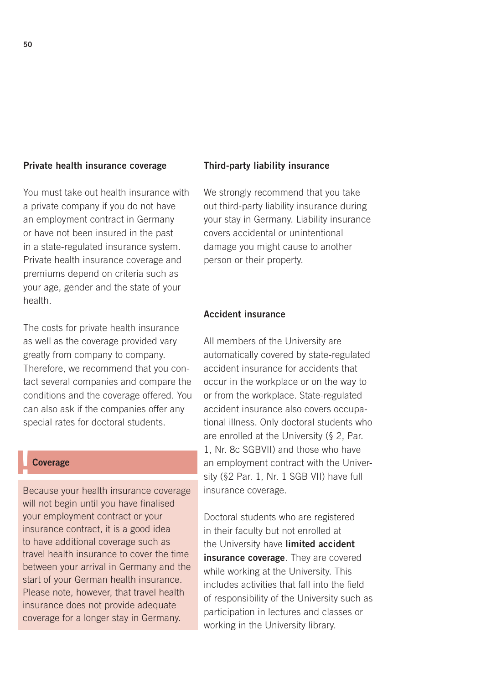#### Private health insurance coverage

You must take out health insurance with a private company if you do not have an employment contract in Germany or have not been insured in the past in a state-regulated insurance system. Private health insurance coverage and premiums depend on criteria such as your age, gender and the state of your health.

The costs for private health insurance as well as the coverage provided vary greatly from company to company. Therefore, we recommend that you contact several companies and compare the conditions and the coverage offered. You can also ask if the companies offer any special rates for doctoral students.

#### **Coverage**

Because your health insurance coverage will not begin until you have finalised your employment contract or your insurance contract, it is a good idea to have additional coverage such as travel health insurance to cover the time between your arrival in Germany and the start of your German health insurance. Please note, however, that travel health insurance does not provide adequate coverage for a longer stay in Germany.

#### Third-party liability insurance

We strongly recommend that you take out third-party liability insurance during your stay in Germany. Liability insurance covers accidental or unintentional damage you might cause to another person or their property.

### Accident insurance

All members of the University are automatically covered by state-regulated accident insurance for accidents that occur in the workplace or on the way to or from the workplace. State-regulated accident insurance also covers occupational illness. Only doctoral students who are enrolled at the University (§ 2, Par. 1, Nr. 8c SGBVII) and those who have an employment contract with the University (§2 Par. 1, Nr. 1 SGB VII) have full insurance coverage.

Doctoral students who are registered in their faculty but not enrolled at the University have **limited accident** insurance coverage. They are covered while working at the University. This includes activities that fall into the field of responsibility of the University such as participation in lectures and classes or working in the University library.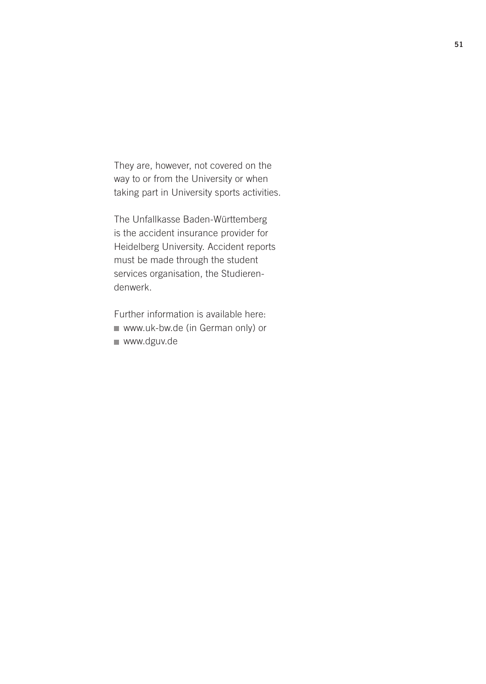They are, however, not covered on the way to or from the University or when taking part in University sports activities.

The Unfallkasse Baden-Württemberg is the accident insurance provider for Heidelberg University. Accident reports must be made through the student services organisation, the Studierendenwerk.

Further information is available here: www.uk-bw.de (in German only) or [www.dguv.de](http://www.dguv.de)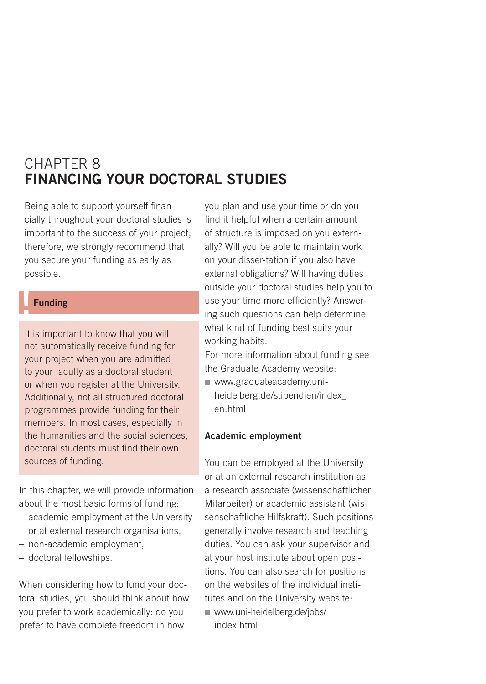# CHAPTER 8 FINANCING YOUR DOCTORAL STUDIES

Being able to support yourself financially throughout your doctoral studies is important to the success of your project; therefore, we strongly recommend that you secure your funding as early as possible.

### **Funding**

It is important to know that you will not automatically receive funding for your project when you are admitted to your faculty as a doctoral student or when you register at the University. Additionally, not all structured doctoral programmes provide funding for their members. In most cases, especially in the humanities and the social sciences, doctoral students must find their own sources of funding.

In this chapter, we will provide information about the most basic forms of funding:

- academic employment at the University or at external research organisations,
- non-academic employment,
- doctoral fellowships.

When considering how to fund your doctoral studies, you should think about how you prefer to work academically: do you prefer to have complete freedom in how

you plan and use your time or do you find it helpful when a certain amount of structure is imposed on you externally? Will you be able to maintain work on your disser-tation if you also have external obligations? Will having duties outside your doctoral studies help you to use your time more efficiently? Answering such questions can help determine what kind of funding best suits your working habits.

For more information about funding see the Graduate Academy website:

www.graduateacademy.uni[heidelberg.de/stipendien/index\\_](http://www.graduateacademy.uni-heidelberg.de/stipendien/index_en.html) en.html

#### Academic employment

You can be employed at the University or at an external research institution as a research associate (wissenschaftlicher Mitarbeiter) or academic assistant (wissenschaftliche Hilfskraft). Such positions generally involve research and teaching duties. You can ask your supervisor and at your host institute about open positions. You can also search for positions on the websites of the individual institutes and on the University website: www.uni-heidelberg.de/jobs/

index.html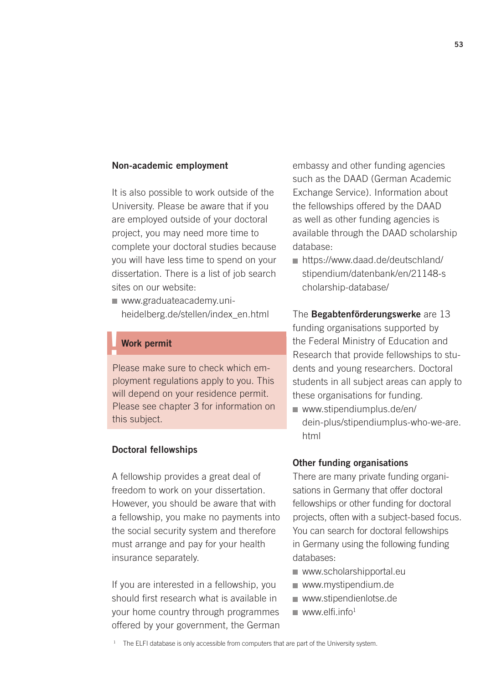#### Non-academic employment

It is also possible to work outside of the University. Please be aware that if you are employed outside of your doctoral project, you may need more time to complete your doctoral studies because you will have less time to spend on your dissertation. There is a list of job search sites on our website:

■ www.graduateacademy.uniheidelberg.de/stellen/index\_en.html

### **Work permit**

Please make sure to check which employment regulations apply to you. This will depend on your residence permit. Please see chapter 3 for information on this subject.

#### Doctoral fellowships

A fellowship provides a great deal of freedom to work on your dissertation. However, you should be aware that with a fellowship, you make no payments into the social security system and therefore must arrange and pay for your health insurance separately.

If you are interested in a fellowship, you should first research what is available in your home country through programmes offered by your government, the German embassy and other funding agencies such as the DAAD (German Academic Exchange Service). Information about the fellowships offered by the DAAD as well as other funding agencies is available through the DAAD scholarship database:

https://www.daad.de/deutschland/ [stipendium/datenbank/en/21148-s](https://www.daad.de/deutschland/stipendium/datenbank/en/21148-scholarship-database/) cholarship-database/

The Begabtenförderungswerke are 13 funding organisations supported by the Federal Ministry of Education and Research that provide fellowships to students and young researchers. Doctoral students in all subject areas can apply to these organisations for funding. www.stipendiumplus.de/en/

[dein-plus/stipendiumplus-who-we-are.](http://www.stipendiumplus.de/en/dein-plus/stipendiumplus-who-we-are.html) html

#### Other funding organisations

There are many private funding organisations in Germany that offer doctoral fellowships or other funding for doctoral projects, often with a subject-based focus. You can search for doctoral fellowships in Germany using the following funding databases:

- www.scholarshipportal.eu
- www.mystipendium.de
- www.stipendienlotse.de
- $www.$ elfi.info<sup>1</sup>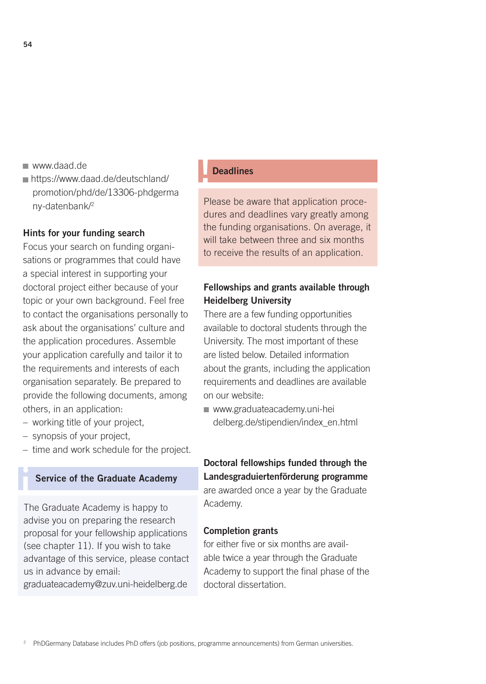- www.daad.de
- https://www.daad.de/deutschland/ [promotion/phd/de/13306-phdgerma](https://www.daad.de/deutschland/promotion/phd/de/13306-phdgermany-datenbank/) ny-datenbank/2

#### Hints for your funding search

Focus your search on funding organisations or programmes that could have a special interest in supporting your doctoral project either because of your topic or your own background. Feel free to contact the organisations personally to ask about the organisations' culture and the application procedures. Assemble your application carefully and tailor it to the requirements and interests of each organisation separately. Be prepared to provide the following documents, among others, in an application:

- working title of your project,
- synopsis of your project,

i

– time and work schedule for the project.

### Service of the Graduate Academy

The Graduate Academy is happy to advise you on preparing the research proposal for your fellowship applications (see chapter 11). If you wish to take advantage of this service, please contact us in advance by email: graduateacademy@zuv.uni-heidelberg.de

#### **Deadlines**

Please be aware that application procedures and deadlines vary greatly among the funding organisations. On average, it will take between three and six months to receive the results of an application.

### Fellowships and grants available through Heidelberg University

There are a few funding opportunities available to doctoral students through the University. The most important of these are listed below. Detailed information about the grants, including the application requirements and deadlines are available on our website:

www.graduateacademy.uni-hei [delberg.de/stipendien/index\\_en.html](hhtp://www.graduateacademy.uni-heidelberg.de/stipendien/index_en.html) 

### Doctoral fellowships funded through the Landesgraduiertenförderung programme are awarded once a year by the Graduate Academy.

#### Completion grants

for either five or six months are available twice a year through the Graduate Academy to support the final phase of the doctoral dissertation.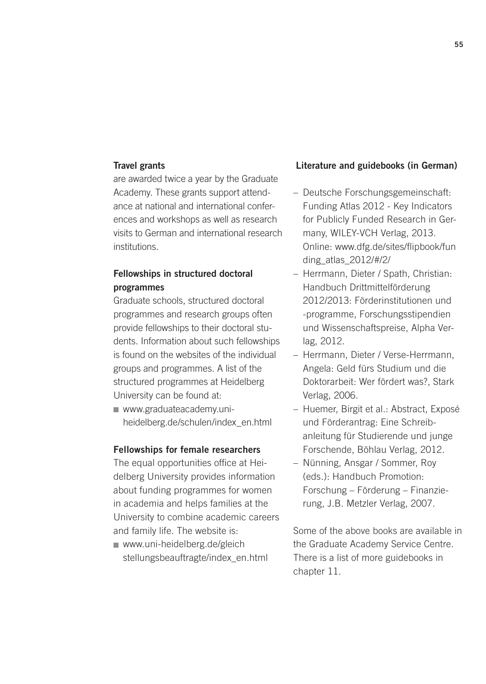#### Travel grants

are awarded twice a year by the Graduate Academy. These grants support attendance at national and international conferences and workshops as well as research visits to German and international research institutions.

### Fellowships in structured doctoral programmes

Graduate schools, structured doctoral programmes and research groups often provide fellowships to their doctoral students. Information about such fellowships is found on the websites of the individual groups and programmes. A list of the structured programmes at Heidelberg University can be found at:

www.graduateacademy.uni[heidelberg.de/schulen/index\\_en.html](http://www.graduateacademy.uni-heidelberg.de/schulen/index_en.html) 

#### Fellowships for female researchers

The equal opportunities office at Heidelberg University provides information about funding programmes for women in academia and helps families at the University to combine academic careers and family life. The website is:

www.uni-heidelberg.de/gleich [stellungsbeauftragte/index\\_en.html](http://www.uni-heidelberg.de/gleichstellungsbeauftragte/index_en.html) 

#### Literature and guidebooks (in German)

- Deutsche Forschungsgemeinschaft: Funding Atlas 2012 - Key Indicators for Publicly Funded Research in Germany, WILEY-VCH Verlag, 2013. [Online: www.dfg.de/sites/flipbook/fun](http://www.dfg.de/sites/flipbook/funding_atlas_2012/#/2/) ding\_atlas\_2012/#/2/
- Herrmann, Dieter / Spath, Christian: Handbuch Drittmittelförderung 2012/2013: Förderinstitutionen und -programme, Forschungsstipendien und Wissenschaftspreise, Alpha Verlag, 2012.
- Herrmann, Dieter / Verse-Herrmann, Angela: Geld fürs Studium und die Doktorarbeit: Wer fördert was?, Stark Verlag, 2006.
- Huemer, Birgit et al.: Abstract, Exposé und Förderantrag: Eine Schreibanleitung für Studierende und junge Forschende, Böhlau Verlag, 2012.
- Nünning, Ansgar / Sommer, Roy (eds.): Handbuch Promotion: Forschung – Förderung – Finanzierung, J.B. Metzler Verlag, 2007.

Some of the above books are available in the Graduate Academy Service Centre. There is a list of more guidebooks in chapter 11.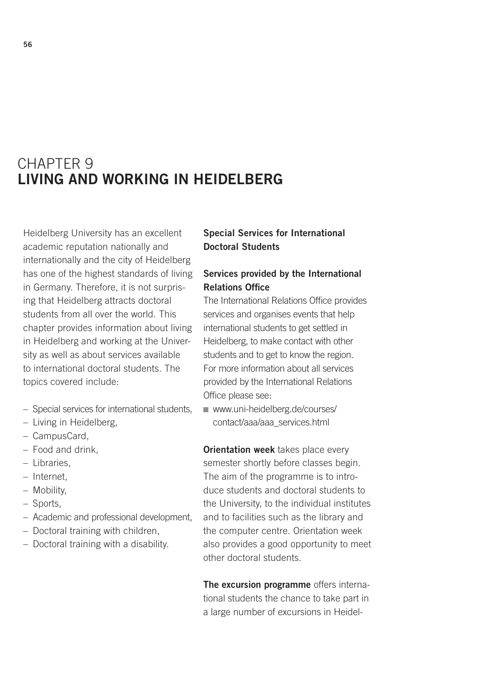# CHAPTER 9 LIVING AND WORKING IN HEIDELBERG

Heidelberg University has an excellent academic reputation nationally and internationally and the city of Heidelberg has one of the highest standards of living in Germany. Therefore, it is not surprising that Heidelberg attracts doctoral students from all over the world. This chapter provides information about living in Heidelberg and working at the University as well as about services available to international doctoral students. The topics covered include:

- Special services for international students,
- Living in Heidelberg,
- CampusCard,
- Food and drink,
- Libraries,
- Internet,
- Mobility,
- Sports,
- Academic and professional development,
- Doctoral training with children,
- Doctoral training with a disability.

### Special Services for International Doctoral Students

### Services provided by the International Relations Office

The International Relations Office provides services and organises events that help international students to get settled in Heidelberg, to make contact with other students and to get to know the region. For more information about all services provided by the International Relations Office please see:

[www.uni-heidelberg.de/courses/](http://www.uni-heidelberg.de/courses/contact/aaa/aaa_services.html) contact/aaa/aaa\_services.html

**Orientation week** takes place every semester shortly before classes begin. The aim of the programme is to introduce students and doctoral students to the University, to the individual institutes and to facilities such as the library and the computer centre. Orientation week also provides a good opportunity to meet other doctoral students.

The excursion programme offers international students the chance to take part in a large number of excursions in Heidel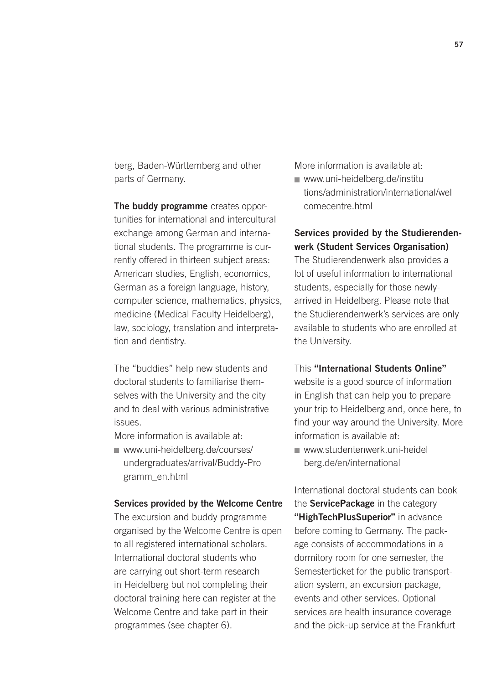berg, Baden-Württemberg and other parts of Germany.

The buddy programme creates opportunities for international and intercultural exchange among German and international students. The programme is currently offered in thirteen subject areas: American studies, English, economics, German as a foreign language, history, computer science, mathematics, physics, medicine (Medical Faculty Heidelberg), law, sociology, translation and interpretation and dentistry.

The "buddies" help new students and doctoral students to familiarise themselves with the University and the city and to deal with various administrative issues.

More information is available at:

www.uni-heidelberg.de/courses/ [undergraduates/arrival/Buddy-Pro](http://www.uni-heidelberg.de/courses/undergraduates/arrival/Buddy-Programm_en.html) gramm\_en.html

#### Services provided by the Welcome Centre

The excursion and buddy programme organised by the Welcome Centre is open to all registered international scholars. International doctoral students who are carrying out short-term research in Heidelberg but not completing their doctoral training here can register at the Welcome Centre and take part in their programmes (see chapter 6).

More information is available at:

www.uni-heidelberg.de/institu [tions/administration/international/wel](http://www.uni-heidelberg.de/courses/contact/aaa/aaa_services.html) comecentre.html

### Services provided by the Studierendenwerk (Student Services Organisation)

The Studierendenwerk also provides a lot of useful information to international students, especially for those newlyarrived in Heidelberg. Please note that the Studierendenwerk's services are only available to students who are enrolled at the University.

#### This "International Students Online"

website is a good source of information in English that can help you to prepare your trip to Heidelberg and, once here, to find your way around the University. More information is available at:

[www.studentenwerk.uni-heidel](http://www.studentenwerk.uni-heidelberg.de/en/international) berg.de/en/international

International doctoral students can book the **ServicePackage** in the category "HighTechPlusSuperior" in advance before coming to Germany. The package consists of accommodations in a dormitory room for one semester, the Semesterticket for the public transportation system, an excursion package, events and other services. Optional services are health insurance coverage and the pick-up service at the Frankfurt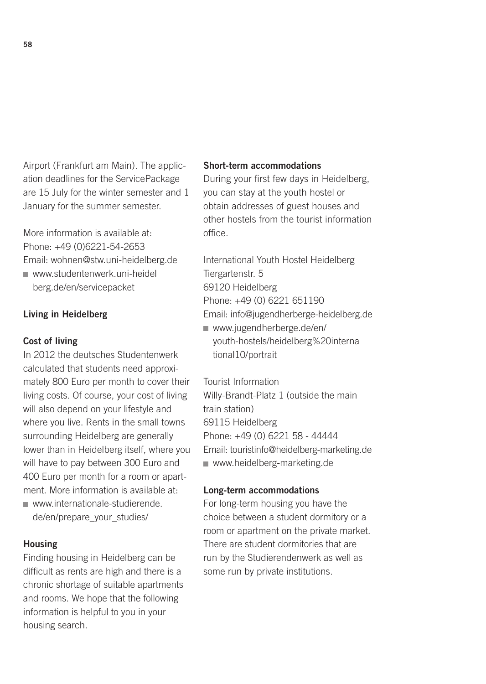Airport (Frankfurt am Main). The application deadlines for the ServicePackage are 15 July for the winter semester and 1 January for the summer semester.

More information is available at: Phone: +49 (0)6221-54-2653 Email: wohnen@stw.uni-heidelberg.de [www.studentenwerk.uni-heidel](http://www.studentenwerk.uni-heidelberg.de/en/servicepacket) berg.de/en/servicepacket

#### Living in Heidelberg

#### Cost of living

In 2012 the deutsches Studentenwerk calculated that students need approximately 800 Euro per month to cover their living costs. Of course, your cost of living will also depend on your lifestyle and where you live. Rents in the small towns surrounding Heidelberg are generally lower than in Heidelberg itself, where you will have to pay between 300 Euro and 400 Euro per month for a room or apartment. More information is available at: [www.internationale-studierende.](http://www.internationale-studierende.de/en/prepare_your_studies/)

de/en/prepare\_your\_studies/

#### Housing

Finding housing in Heidelberg can be difficult as rents are high and there is a chronic shortage of suitable apartments and rooms. We hope that the following information is helpful to you in your housing search.

#### Short-term accommodations

During your first few days in Heidelberg, you can stay at the youth hostel or obtain addresses of guest houses and other hostels from the tourist information office.

International Youth Hostel Heidelberg Tiergartenstr. 5 69120 Heidelberg Phone: +49 (0) 6221 651190 Email: info@jugendherberge-heidelberg.de

www.jugendherberge.de/en/ [youth-hostels/heidelberg%20interna](www.jugendherberge.de/en/youth-hostels/heidelberg%20international10/portrait) tional10/portrait

Tourist Information Willy-Brandt-Platz 1 (outside the main train station) 69115 Heidelberg Phone: +49 (0) 6221 58 - 44444 Email: touristinfo@heidelberg-marketing.de www.heidelberg-marketing.de

#### Long-term accommodations

For long-term housing you have the choice between a student dormitory or a room or apartment on the private market. There are student dormitories that are run by the Studierendenwerk as well as some run by private institutions.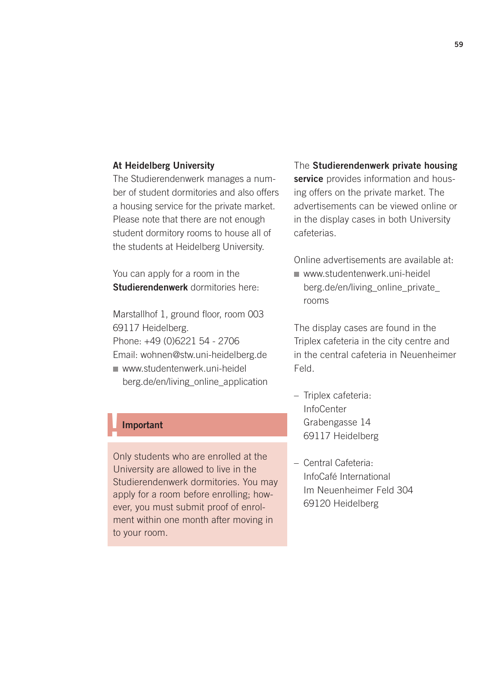#### At Heidelberg University

The Studierendenwerk manages a number of student dormitories and also offers a housing service for the private market. Please note that there are not enough student dormitory rooms to house all of the students at Heidelberg University.

You can apply for a room in the Studierendenwerk dormitories here:

Marstallhof 1, ground floor, room 003 69117 Heidelberg. Phone: +49 (0)6221 54 - 2706 Email: wohnen@stw.uni-heidelberg.de

www.studentenwerk.uni-heidel [berg.de/en/living\\_online\\_application](http://www.studentenwerk.uni-heidelberg.de/en/living_online_application)

### **Important**

Only students who are enrolled at the University are allowed to live in the Studierendenwerk dormitories. You may apply for a room before enrolling; however, you must submit proof of enrolment within one month after moving in to your room.

The Studierendenwerk private housing service provides information and housing offers on the private market. The advertisements can be viewed online or in the display cases in both University cafeterias.

Online advertisements are available at:

www.studentenwerk.uni-heidel [berg.de/en/living\\_online\\_private\\_](http://www.studentenwerk.uni-heidelberg.de/en/living_online_private_ rooms) rooms

The display cases are found in the Triplex cafeteria in the city centre and in the central cafeteria in Neuenheimer Feld.

- Triplex cafeteria: **InfoCenter** Grabengasse 14 69117 Heidelberg
- Central Cafeteria: InfoCafé International Im Neuenheimer Feld 304 69120 Heidelberg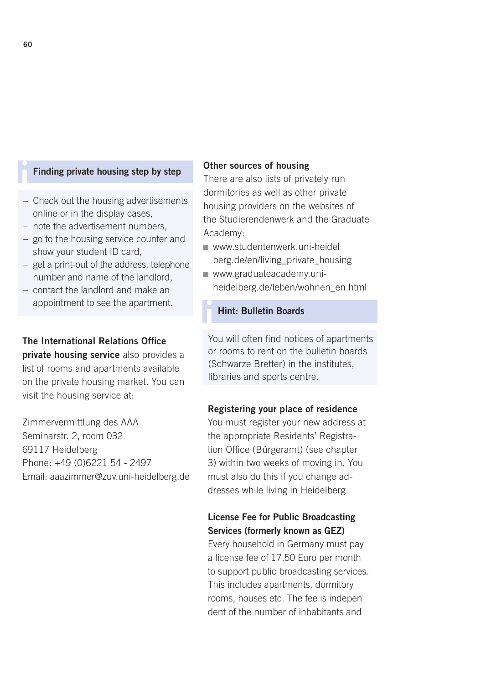#### Finding private housing step by step

- Check out the housing advertisements online or in the display cases,
- note the advertisement numbers,
- go to the housing service counter and show your student ID card,
- get a print-out of the address, telephone number and name of the landlord,
- contact the landlord and make an appointment to see the apartment.

### The International Relations Office private housing service also provides a

list of rooms and apartments available on the private housing market. You can visit the housing service at:

Zimmervermittlung des AAA Seminarstr. 2, room 032 69117 Heidelberg Phone: +49 (0)6221 54 - 2497 Email: aaazimmer@zuv.uni-heidelberg.de

#### Other sources of housing

There are also lists of privately run dormitories as well as other private housing providers on the websites of the Studierendenwerk and the Graduate Academy:

- www.studentenwerk.uni-heidel [berg.de/en/living\\_private\\_housing](http://www.studentenwerk.uni-heidelberg.de/en/living_private_housing)
- www.graduateacademy.uniheidelberg.de/leben/wohnen\_en.html
- i Hint: Bulletin Boards

You will often find notices of apartments or rooms to rent on the bulletin boards (Schwarze Bretter) in the institutes, libraries and sports centre.

#### Registering your place of residence

You must register your new address at the appropriate Residents' Registration Office (Bürgeramt) (see chapter 3) within two weeks of moving in. You must also do this if you change addresses while living in Heidelberg.

### License Fee for Public Broadcasting Services (formerly known as GEZ)

Every household in Germany must pay a license fee of 17.50 Euro per month to support public broadcasting services. This includes apartments, dormitory rooms, houses etc. The fee is independent of the number of inhabitants and

i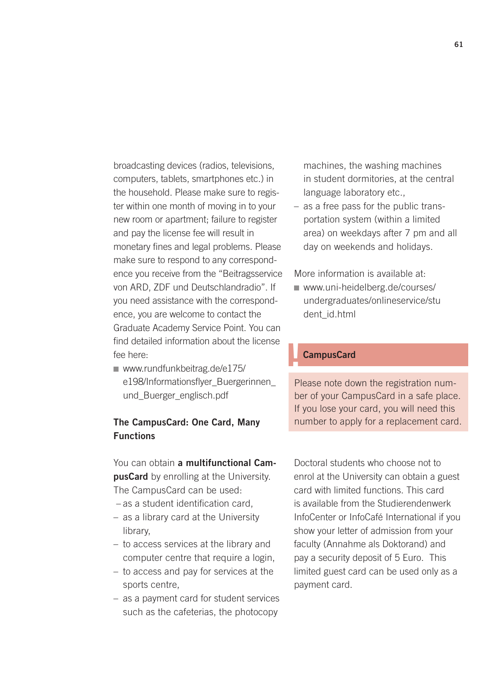broadcasting devices (radios, televisions, computers, tablets, smartphones etc.) in the household. Please make sure to register within one month of moving in to your new room or apartment; failure to register and pay the license fee will result in monetary fines and legal problems. Please make sure to respond to any correspondence you receive from the "Beitragsservice von ARD, ZDF und Deutschlandradio". If you need assistance with the correspondence, you are welcome to contact the Graduate Academy Service Point. You can find detailed information about the license fee here:

■ www.rundfunkbeitrag.de/e175/ [e198/Informationsflyer\\_Buergerinnen\\_](http://www.rundfunkbeitrag.de/e175/e198/Informationsflyer_Buergerinnen_ und_Buerger_englisch.pdf) und\_Buerger\_englisch.pdf

### The CampusCard: One Card, Many **Functions**

You can obtain a multifunctional CampusCard by enrolling at the University. The CampusCard can be used:

- as a student identification card,
- as a library card at the University library,
- to access services at the library and computer centre that require a login,
- to access and pay for services at the sports centre,
- as a payment card for student services such as the cafeterias, the photocopy

machines, the washing machines in student dormitories, at the central language laboratory etc.,

– as a free pass for the public transportation system (within a limited area) on weekdays after 7 pm and all day on weekends and holidays.

More information is available at:

www.uni-heidelberg.de/courses/ [undergraduates/onlineservice/stu](www.uni-heidelberg.de/courses/undergraduates/onlineservice/student_id.html) dent\_id.html

### **CampusCard**

Please note down the registration number of your CampusCard in a safe place. If you lose your card, you will need this number to apply for a replacement card.

Doctoral students who choose not to enrol at the University can obtain a guest card with limited functions. This card is available from the Studierendenwerk InfoCenter or InfoCafé International if you show your letter of admission from your faculty (Annahme als Doktorand) and pay a security deposit of 5 Euro. This limited guest card can be used only as a payment card.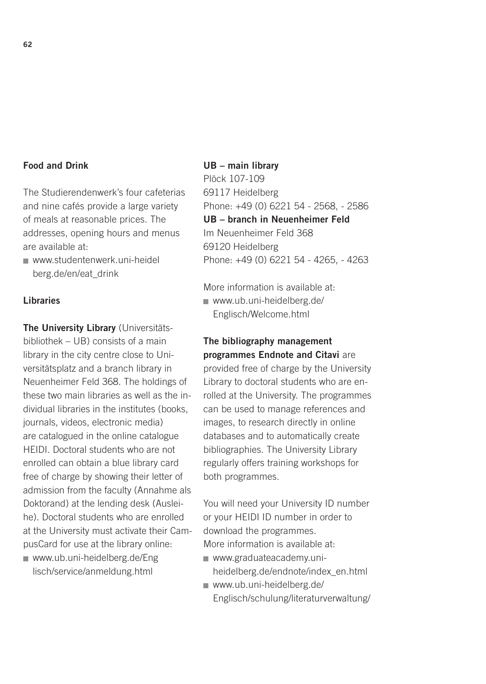### Food and Drink

The Studierendenwerk's four cafeterias and nine cafés provide a large variety of meals at reasonable prices. The addresses, opening hours and menus are available at:

[www.studentenwerk.uni-heidel](http://www.studentenwerk.uni-heidelberg.de/en/eat_drink) berg.de/en/eat\_drink

### Libraries

The University Library (Universitätsbibliothek – UB) consists of a main library in the city centre close to Universitätsplatz and a branch library in Neuenheimer Feld 368. The holdings of these two main libraries as well as the individual libraries in the institutes (books, journals, videos, electronic media) are catalogued in the online catalogue HEIDI. Doctoral students who are not enrolled can obtain a blue library card free of charge by showing their letter of admission from the faculty (Annahme als Doktorand) at the lending desk (Ausleihe). Doctoral students who are enrolled at the University must activate their CampusCard for use at the library online:

[www.ub.uni-heidelberg.de/Eng](http://www.ub.uni-heidelberg.de/Englisch/service/anmeldung.html) lisch/service/anmeldung.html

UB – main library Plöck 107-109 69117 Heidelberg Phone: +49 (0) 6221 54 - 2568, - 2586 UB – branch in Neuenheimer Feld Im Neuenheimer Feld 368 69120 Heidelberg Phone: +49 (0) 6221 54 - 4265, - 4263

More information is available at: [www.ub.uni-heidelberg.de/](http://www.ub.uni-heidelberg.de/Englisch/Welcome.html) Englisch/Welcome.html

### The bibliography management programmes Endnote and Citavi are

provided free of charge by the University Library to doctoral students who are enrolled at the University. The programmes can be used to manage references and images, to research directly in online databases and to automatically create bibliographies. The University Library regularly offers training workshops for both programmes.

You will need your University ID number or your HEIDI ID number in order to download the programmes. More information is available at:

- www.graduateacademy.uni[heidelberg.de/endnote/index\\_en.html](http://www.graduateacademy.uni-heidelberg.de/endnote/index_en.html)
- www.ub.uni-heidelberg.de/ [Englisch/schulung/literaturverwaltung/](http://www.ub.uni-heidelberg.de/Englisch/schulung/literaturverwaltung/)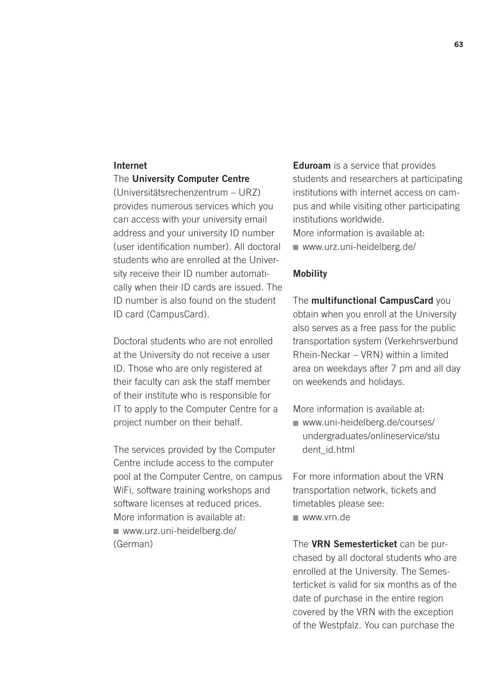#### Internet

#### The University Computer Centre

(Universitätsrechenzentrum – URZ) provides numerous services which you can access with your university email address and your university ID number (user identification number). All doctoral students who are enrolled at the University receive their ID number automatically when their ID cards are issued. The ID number is also found on the student ID card (CampusCard).

Doctoral students who are not enrolled at the University do not receive a user ID. Those who are only registered at their faculty can ask the staff member of their institute who is responsible for IT to apply to the Computer Centre for a project number on their behalf.

The services provided by the Computer Centre include access to the computer pool at the Computer Centre, on campus WiFi, software training workshops and software licenses at reduced prices. More information is available at: www.urz.uni-heidelberg.de/ (German)

**Eduroam** is a service that provides students and researchers at participating institutions with internet access on campus and while visiting other participating institutions worldwide.

More information is available at: www.urz.uni-heidelberg.de/

#### Mobility

The multifunctional CampusCard you obtain when you enroll at the University also serves as a free pass for the public transportation system (Verkehrsverbund Rhein-Neckar – VRN) within a limited area on weekdays after 7 pm and all day on weekends and holidays.

More information is available at:

www.uni-heidelberg.de/courses/ [undergraduates/onlineservice/stu](http://www.ub.uni-heidelberg.de/Englisch/schulung/literaturverwaltung/) dent\_id.html

For more information about the VRN transportation network, tickets and timetables please see: www.vrn.de

The VRN Semesterticket can be purchased by all doctoral students who are enrolled at the University. The Semesterticket is valid for six months as of the date of purchase in the entire region covered by the VRN with the exception of the Westpfalz. You can purchase the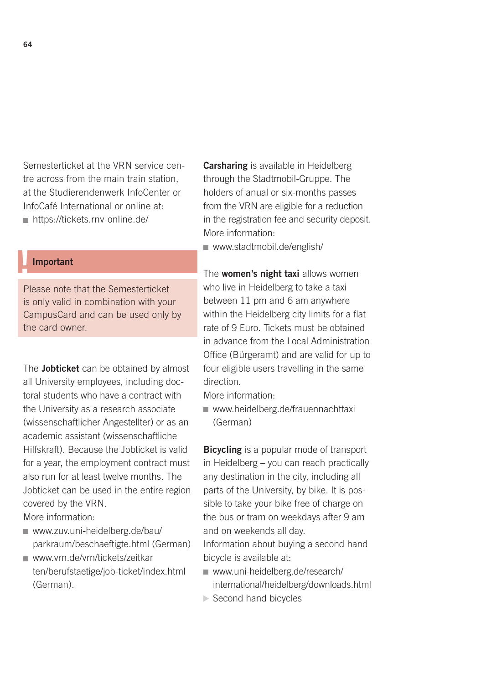Semesterticket at the VRN service centre across from the main train station, at the Studierendenwerk InfoCenter or InfoCafé International or online at: ■ https://tickets.rnv-online.de/

### **Important**

Please note that the Semesterticket is only valid in combination with your CampusCard and can be used only by the card owner.

The **Jobticket** can be obtained by almost all University employees, including doctoral students who have a contract with the University as a research associate (wissenschaftlicher Angestellter) or as an academic assistant (wissenschaftliche Hilfskraft). Because the Jobticket is valid for a year, the employment contract must also run for at least twelve months. The Jobticket can be used in the entire region covered by the VRN.

More information:

- www.zuv.uni-heidelberg.de/bau/ [parkraum/beschaeftigte.html \(German\)](http://www.zuv.uni-heidelberg.de/bau/parkraum/beschaeftigte.html)
- www.vrn.de/vrn/tickets/zeitkar [ten/berufstaetige/job-ticket/index.html](http://www.vrn.de/vrn/tickets/zeitkarten/berufstaetige/job-ticket/index.html)  (German).

**Carsharing** is available in Heidelberg through the Stadtmobil-Gruppe. The holders of anual or six-months passes from the VRN are eligible for a reduction in the registration fee and security deposit. More information:

[www.stadtmobil.de/english/](http://www.stadtmobil.de/english/) 

The **women's night taxi** allows women who live in Heidelberg to take a taxi between 11 pm and 6 am anywhere within the Heidelberg city limits for a flat rate of 9 Euro. Tickets must be obtained in advance from the Local Administration Office (Bürgeramt) and are valid for up to four eligible users travelling in the same direction.

- More information:
- www.heidelberg.de/frauennachttaxi (German)

**Bicycling** is a popular mode of transport in Heidelberg – you can reach practically any destination in the city, including all parts of the University, by bike. It is possible to take your bike free of charge on the bus or tram on weekdays after 9 am and on weekends all day.

Information about buying a second hand bicycle is available at:

- www.uni-heidelberg.de/research/ [international/heidelberg/downloads.html](www.uni-heidelberg.de/research/international/heidelberg/downloads.html)
- ▶ Second hand bicycles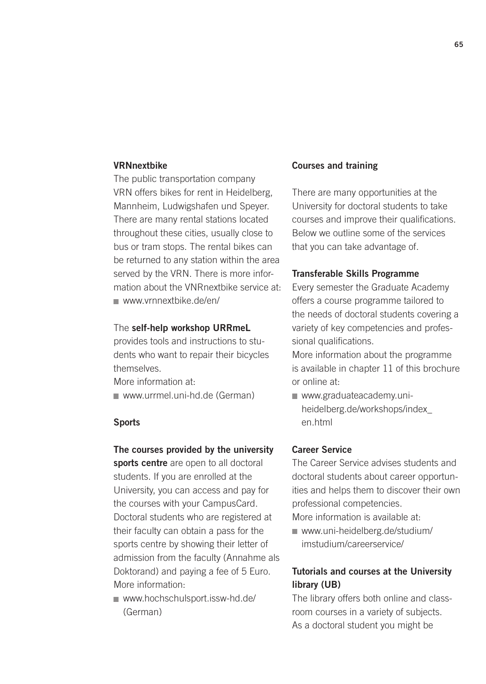### VRNnextbike

The public transportation company VRN offers bikes for rent in Heidelberg, Mannheim, Ludwigshafen und Speyer. There are many rental stations located throughout these cities, usually close to bus or tram stops. The rental bikes can be returned to any station within the area served by the VRN. There is more information about the VNRnextbike service at: www.vrnnextbike.de/en/

#### The self-help workshop URRmeL

provides tools and instructions to students who want to repair their bicycles themselves.

More information at:

www.urrmel.uni-hd.de (German)

#### Sports

#### The courses provided by the university

sports centre are open to all doctoral students. If you are enrolled at the University, you can access and pay for the courses with your CampusCard. Doctoral students who are registered at their faculty can obtain a pass for the sports centre by showing their letter of admission from the faculty (Annahme als Doktorand) and paying a fee of 5 Euro. More information:

■ www.hochschulsport.issw-hd.de/ (German)

#### Courses and training

There are many opportunities at the University for doctoral students to take courses and improve their qualifications. Below we outline some of the services that you can take advantage of.

#### Transferable Skills Programme

Every semester the Graduate Academy offers a course programme tailored to the needs of doctoral students covering a variety of key competencies and professional qualifications.

More information about the programme is available in chapter 11 of this brochure or online at:

www.graduateacademy.uni[heidelberg.de/workshops/index\\_](http://www.graduateacademy.uni-heidelberg.de/workshops/index_ en.html) en.html

#### Career Service

The Career Service advises students and doctoral students about career opportunities and helps them to discover their own professional competencies.

More information is available at:

www.uni-heidelberg.de/studium/ [imstudium/careerservice/](www.uni-heidelberg.de/studium/imstudium/careerservice/) 

### Tutorials and courses at the University library (UB)

The library offers both online and classroom courses in a variety of subjects. As a doctoral student you might be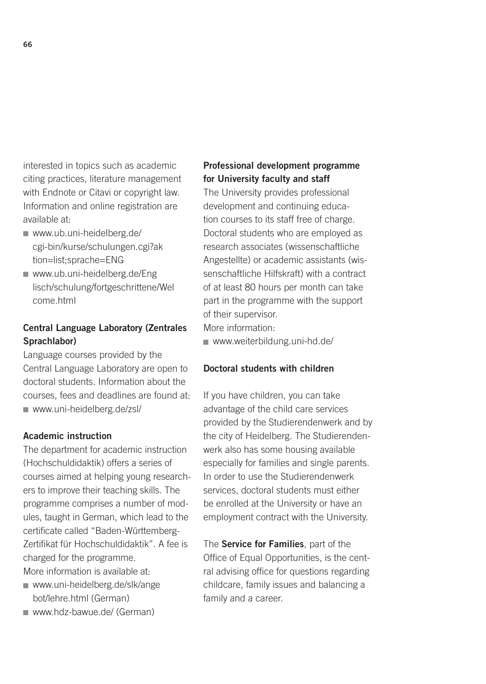interested in topics such as academic citing practices, literature management with Endnote or Citavi or copyright law. Information and online registration are available at:

- www.ub.uni-heidelberg.de/ [cgi-bin/kurse/schulungen.cgi?ak](http://www.ub.uni-heidelberg.de/cgi-bin/kurse/schulungen.cgi?ak tion=list;sprache=ENG) tion=list;sprache=ENG
- www.ub.uni-heidelberg.de/Eng [lisch/schulung/fortgeschrittene/Wel](http://www.ub.uni-heidelberg.de/Englisch/schulung/fortgeschrittene/Welcome.html) come.html

### Central Language Laboratory (Zentrales Sprachlabor)

Language courses provided by the Central Language Laboratory are open to doctoral students. Information about the courses, fees and deadlines are found at: www.uni-heidelberg.de/zsl/

#### Academic instruction

The department for academic instruction (Hochschuldidaktik) offers a series of courses aimed at helping young researchers to improve their teaching skills. The programme comprises a number of modules, taught in German, which lead to the certificate called "Baden-Württemberg-Zertifikat für Hochschuldidaktik". A fee is charged for the programme. More information is available at:

- [www.uni-heidelberg.de/slk/ange](http://www.uni-heidelberg.de/slk/angebot/lehre.html) bot/lehre.html (German)
- www.hdz-bawue.de/ (German)

### Professional development programme for University faculty and staff

The University provides professional development and continuing education courses to its staff free of charge. Doctoral students who are employed as research associates (wissenschaftliche Angestellte) or academic assistants (wissenschaftliche Hilfskraft) with a contract of at least 80 hours per month can take part in the programme with the support of their supervisor.

More information:

www.weiterbildung.uni-hd.de/

### Doctoral students with children

If you have children, you can take advantage of the child care services provided by the Studierendenwerk and by the city of Heidelberg. The Studierendenwerk also has some housing available especially for families and single parents. In order to use the Studierendenwerk services, doctoral students must either be enrolled at the University or have an employment contract with the University.

The Service for Families, part of the Office of Equal Opportunities, is the central advising office for questions regarding childcare, family issues and balancing a family and a career.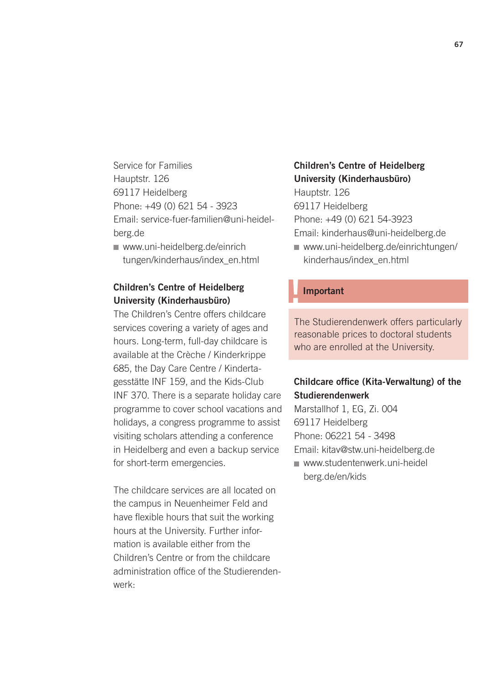Service for Families Hauptstr. 126 69117 Heidelberg Phone: +49 (0) 621 54 - 3923 Email: service-fuer-familien@uni-heidelberg.de

www.uni-heidelberg.de/einrich [tungen/kinderhaus/index\\_en.html](http://www.uni-heidelberg.de/einrichtungen/kinderhaus/index_en.html) 

### Children's Centre of Heidelberg University (Kinderhausbüro)

The Children's Centre offers childcare services covering a variety of ages and hours. Long-term, full-day childcare is available at the Crèche / Kinderkrippe 685, the Day Care Centre / Kindertagesstätte INF 159, and the Kids-Club INF 370. There is a separate holiday care programme to cover school vacations and holidays, a congress programme to assist visiting scholars attending a conference in Heidelberg and even a backup service for short-term emergencies.

The childcare services are all located on the campus in Neuenheimer Feld and have flexible hours that suit the working hours at the University. Further information is available either from the Children's Centre or from the childcare administration office of the Studierendenwerk:

### Children's Centre of Heidelberg University (Kinderhausbüro)

Hauptstr. 126 69117 Heidelberg

Phone: +49 (0) 621 54-3923

Email: kinderhaus@uni-heidelberg.de

[www.uni-heidelberg.de/einrichtungen/](http://www.uni-heidelberg.de/einrichtungen/kinderhaus/index_en.html) kinderhaus/index\_en.html

### **Important**

The Studierendenwerk offers particularly reasonable prices to doctoral students who are enrolled at the University.

### Childcare office (Kita-Verwaltung) of the Studierendenwerk

Marstallhof 1, EG, Zi. 004 69117 Heidelberg Phone: 06221 54 - 3498 Email: kitav@stw.uni-heidelberg.de [www.studentenwerk.uni-heidel](http://www.studentenwerk.uni-heidelberg.de/en/kids)

berg.de/en/kids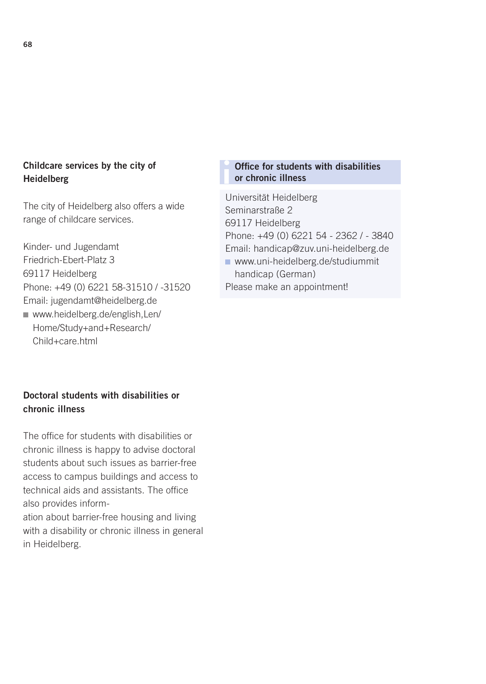### Childcare services by the city of Heidelberg

The city of Heidelberg also offers a wide range of childcare services.

Kinder- und Jugendamt Friedrich-Ebert-Platz 3 69117 Heidelberg Phone: +49 (0) 6221 58-31510 / -31520 Email: jugendamt@heidelberg.de

[www.heidelberg.de/english,Len/](http://www.heidelberg.de/english,Len/Home/Study+and+Research/Child+care.html) Home/Study+and+Research/ Child+care.html

### i Office for students with disabilities or chronic illness

Universität Heidelberg Seminarstraße 2 69117 Heidelberg Phone: +49 (0) 6221 54 - 2362 / - 3840 Email: handicap@zuv.uni-heidelberg.de [www.uni-heidelberg.de/studiummit](http://www.uni-heidelberg.de/studiummithandicap) handicap (German) Please make an appointment!

### Doctoral students with disabilities or chronic illness

The office for students with disabilities or chronic illness is happy to advise doctoral students about such issues as barrier-free access to campus buildings and access to technical aids and assistants. The office also provides information about barrier-free housing and living with a disability or chronic illness in general in Heidelberg.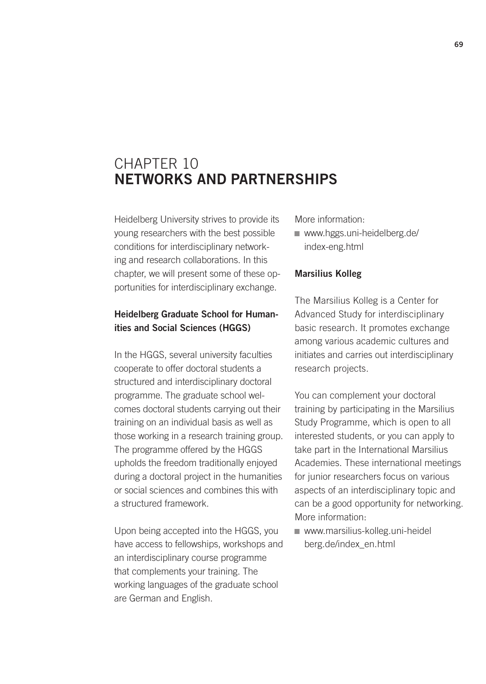# CHAPTER 10 NETWORKS AND PARTNERSHIPS

Heidelberg University strives to provide its young researchers with the best possible conditions for interdisciplinary networking and research collaborations. In this chapter, we will present some of these opportunities for interdisciplinary exchange.

### Heidelberg Graduate School for Humanities and Social Sciences (HGGS)

In the HGGS, several university faculties cooperate to offer doctoral students a structured and interdisciplinary doctoral programme. The graduate school welcomes doctoral students carrying out their training on an individual basis as well as those working in a research training group. The programme offered by the HGGS upholds the freedom traditionally enjoyed during a doctoral project in the humanities or social sciences and combines this with a structured framework.

Upon being accepted into the HGGS, you have access to fellowships, workshops and an interdisciplinary course programme that complements your training. The working languages of the graduate school are German and English.

More information:

[www.hggs.uni-heidelberg.de/](http://www.hggs.uni-heidelberg.de/index-eng.html) index-eng.html

### Marsilius Kolleg

The Marsilius Kolleg is a Center for Advanced Study for interdisciplinary basic research. It promotes exchange among various academic cultures and initiates and carries out interdisciplinary research projects.

You can complement your doctoral training by participating in the Marsilius Study Programme, which is open to all interested students, or you can apply to take part in the International Marsilius Academies. These international meetings for junior researchers focus on various aspects of an interdisciplinary topic and can be a good opportunity for networking. More information:

[www.marsilius-kolleg.uni-heidel](http://www.marsilius-kolleg.uni-heidelberg.de/index_en.html) berg.de/index\_en.html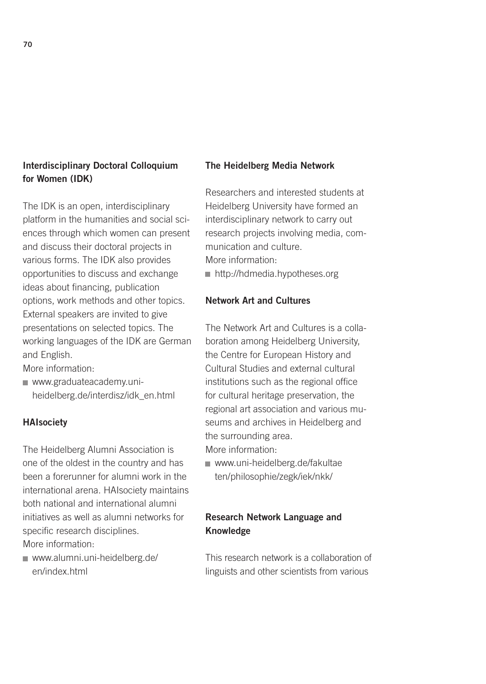### Interdisciplinary Doctoral Colloquium for Women (IDK)

The IDK is an open, interdisciplinary platform in the humanities and social sciences through which women can present and discuss their doctoral projects in various forms. The IDK also provides opportunities to discuss and exchange ideas about financing, publication options, work methods and other topics. External speakers are invited to give presentations on selected topics. The working languages of the IDK are German and English.

More information:

www.graduateacademy.uni[heidelberg.de/interdisz/idk\\_en.html](http://www.graduateacademy.uni-heidelberg.de/interdisz/idk_en.html) 

### **HAIsociety**

The Heidelberg Alumni Association is one of the oldest in the country and has been a forerunner for alumni work in the international arena. HAIsociety maintains both national and international alumni initiatives as well as alumni networks for specific research disciplines. More information:

[www.alumni.uni-heidelberg.de/](http://www.alumni.uni-heidelberg.de/en/index.html) en/index.html

#### The Heidelberg Media Network

Researchers and interested students at Heidelberg University have formed an interdisciplinary network to carry out research projects involving media, communication and culture. More information: http://hdmedia.hypotheses.org

### Network Art and Cultures

The Network Art and Cultures is a collaboration among Heidelberg University, the Centre for European History and Cultural Studies and external cultural institutions such as the regional office for cultural heritage preservation, the regional art association and various museums and archives in Heidelberg and the surrounding area. More information:

[www.uni-heidelberg.de/fakultae](http://www.uni-heidelberg.de/fakultaeten/philosophie/zegk/iek/nkk/) ten/philosophie/zegk/iek/nkk/

### Research Network Language and Knowledge

This research network is a collaboration of linguists and other scientists from various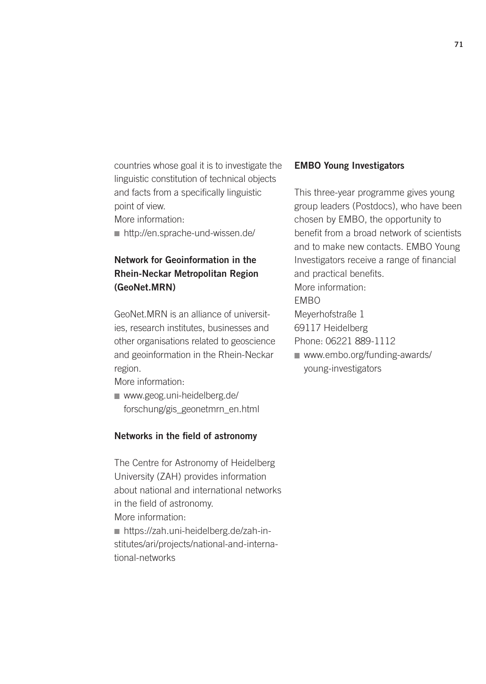countries whose goal it is to investigate the linguistic constitution of technical objects and facts from a specifically linguistic point of view.

More information:

http://en.sprache-und-wissen.de/

### Network for Geoinformation in the Rhein-Neckar Metropolitan Region (GeoNet.MRN)

GeoNet.MRN is an alliance of universities, research institutes, businesses and other organisations related to geoscience and geoinformation in the Rhein-Neckar region.

More information:

www.geog.uni-heidelberg.de/ [forschung/gis\\_geonetmrn\\_en.html](http://www.geog.uni-heidelberg.de/forschung/gis_geonetmrn_en.html) 

#### Networks in the field of astronomy

The Centre for Astronomy of Heidelberg University (ZAH) provides information about national and international networks in the field of astronomy. More information: https://zah.uni-heidelberg.de/zah-in[stitutes/ari/projects/national-and-interna](https://zah.uni-heidelberg.de/zah-institutes/ari/projects/national-and-international-networks)tional-networks

#### EMBO Young Investigators

young-investigators

This three-year programme gives young group leaders (Postdocs), who have been chosen by EMBO, the opportunity to benefit from a broad network of scientists and to make new contacts. EMBO Young Investigators receive a range of financial and practical benefits. More information: EMBO Meyerhofstraße 1 69117 Heidelberg Phone: 06221 889-1112 [www.embo.org/funding-awards/](http://www.embo.org/funding-awards/young-investigators)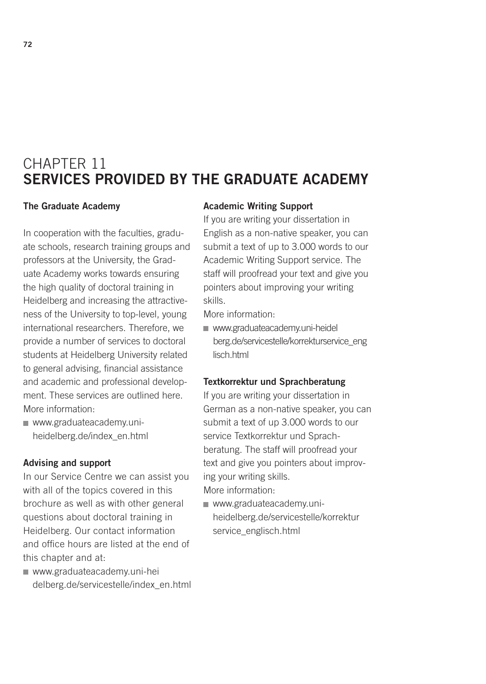# CHAPTER 11 SERVICES PROVIDED BY THE GRADUATE ACADEMY

#### The Graduate Academy

In cooperation with the faculties, graduate schools, research training groups and professors at the University, the Graduate Academy works towards ensuring the high quality of doctoral training in Heidelberg and increasing the attractiveness of the University to top-level, young international researchers. Therefore, we provide a number of services to doctoral students at Heidelberg University related to general advising, financial assistance and academic and professional development. These services are outlined here. More information:

www.graduateacademy.uni[heidelberg.de/index\\_en.html](http://www.graduateacademy.uni-heidelberg.de/index_en.html)

#### Advising and support

In our Service Centre we can assist you with all of the topics covered in this brochure as well as with other general questions about doctoral training in Heidelberg. Our contact information and office hours are listed at the end of this chapter and at:

www.graduateacademy.uni-hei [delberg.de/servicestelle/index\\_en.html](http://www.graduateacademy.uni-heidelberg.de/servicestelle/index_en.html) 

### Academic Writing Support

If you are writing your dissertation in English as a non-native speaker, you can submit a text of up to 3.000 words to our Academic Writing Support service. The staff will proofread your text and give you pointers about improving your writing skills.

More information:

www.graduateacademy.uni-heidel [berg.de/servicestelle/korrekturservice\\_eng](http://www.graduateacademy.uni-heidelberg.de/servicestelle/korrekturservice_eng lisch.html) lisch.html

#### Textkorrektur und Sprachberatung

If you are writing your dissertation in German as a non-native speaker, you can submit a text of up 3.000 words to our service Textkorrektur und Sprachberatung. The staff will proofread your text and give you pointers about improving your writing skills. More information:

www.graduateacademy.uni[heidelberg.de/servicestelle/korrektur](http://www.graduateacademy.uni-heidelberg.de/servicestelle/korrekturservice_englisch.html) service\_englisch.html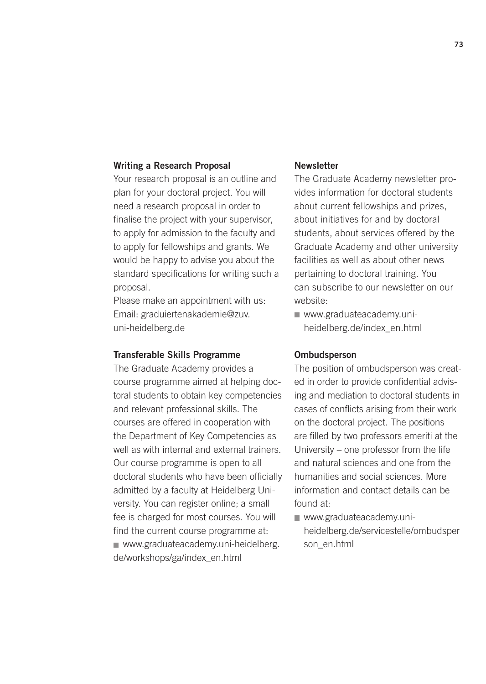#### Writing a Research Proposal

Your research proposal is an outline and plan for your doctoral project. You will need a research proposal in order to finalise the project with your supervisor, to apply for admission to the faculty and to apply for fellowships and grants. We would be happy to advise you about the standard specifications for writing such a proposal.

Please make an appointment with us: Email: graduiertenakademie@zuv. uni-heidelberg.de

#### Transferable Skills Programme

The Graduate Academy provides a course programme aimed at helping doctoral students to obtain key competencies and relevant professional skills. The courses are offered in cooperation with the Department of Key Competencies as well as with internal and external trainers. Our course programme is open to all doctoral students who have been officially admitted by a faculty at Heidelberg University. You can register online; a small fee is charged for most courses. You will find the current course programme at: [www.graduateacademy.uni-heidelberg.](http://www.graduateacademy.uni-heidelberg.de/workshops/ga/index_en.html) de/workshops/ga/index\_en.html

### **Newsletter**

The Graduate Academy newsletter provides information for doctoral students about current fellowships and prizes, about initiatives for and by doctoral students, about services offered by the Graduate Academy and other university facilities as well as about other news pertaining to doctoral training. You can subscribe to our newsletter on our website:

www.graduateacademy.uni[heidelberg.de/index\\_en.html](http://www.graduateacademy.uni-heidelberg.de/index_en.html)

#### **Ombudsperson**

The position of ombudsperson was created in order to provide confidential advising and mediation to doctoral students in cases of conflicts arising from their work on the doctoral project. The positions are filled by two professors emeriti at the University – one professor from the life and natural sciences and one from the humanities and social sciences. More information and contact details can be found at:

■ www.graduateacademy.uni[heidelberg.de/servicestelle/ombudsper](http://www.graduateacademy.uni-heidelberg.de/servicestelle/ombudsperson_en.html) son\_en.html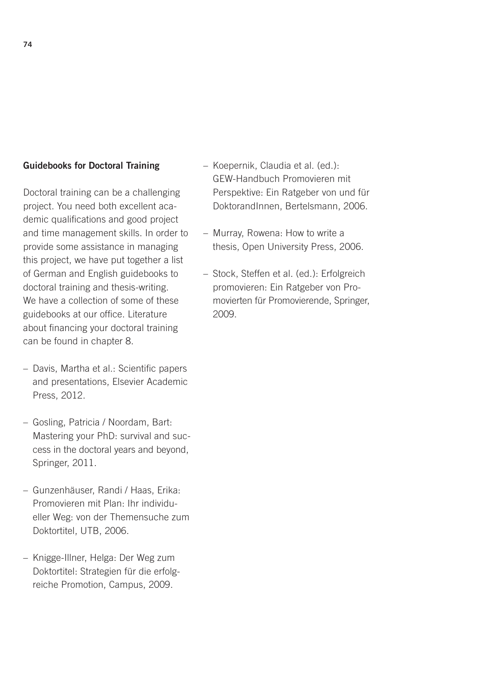#### Guidebooks for Doctoral Training

Doctoral training can be a challenging project. You need both excellent academic qualifications and good project and time management skills. In order to provide some assistance in managing this project, we have put together a list of German and English guidebooks to doctoral training and thesis-writing. We have a collection of some of these guidebooks at our office. Literature about financing your doctoral training can be found in chapter 8.

- Davis, Martha et al.: Scientific papers and presentations, Elsevier Academic Press, 2012.
- Gosling, Patricia / Noordam, Bart: Mastering your PhD: survival and success in the doctoral years and beyond, Springer, 2011.
- Gunzenhäuser, Randi / Haas, Erika: Promovieren mit Plan: Ihr individueller Weg: von der Themensuche zum Doktortitel, UTB, 2006.
- Knigge-Illner, Helga: Der Weg zum Doktortitel: Strategien für die erfolgreiche Promotion, Campus, 2009.
- Koepernik, Claudia et al. (ed.): GEW-Handbuch Promovieren mit Perspektive: Ein Ratgeber von und für DoktorandInnen, Bertelsmann, 2006.
- Murray, Rowena: How to write a thesis, Open University Press, 2006.
- Stock, Steffen et al. (ed.): Erfolgreich promovieren: Ein Ratgeber von Promovierten für Promovierende, Springer, 2009.